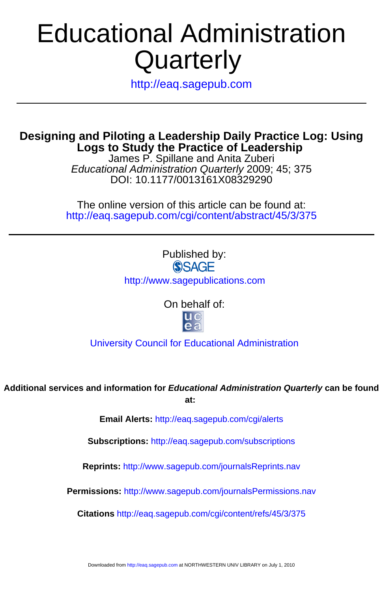# **Quarterly** Educational Administration

http://eaq.sagepub.com

**Logs to Study the Practice of Leadership Designing and Piloting a Leadership Daily Practice Log: Using**

DOI: 10.1177/0013161X08329290 Educational Administration Quarterly 2009; 45; 375 James P. Spillane and Anita Zuberi

http://eaq.sagepub.com/cgi/content/abstract/45/3/375 The online version of this article can be found at:

> Published by:<br>
> SAGE http://www.sagepublications.com

> > On behalf of:

[University Council for Educational Administration](http://www.ucea.org)

**at: Additional services and information for Educational Administration Quarterly can be found**

**Email Alerts:** <http://eaq.sagepub.com/cgi/alerts>

**Subscriptions:** <http://eaq.sagepub.com/subscriptions>

**Reprints:** <http://www.sagepub.com/journalsReprints.nav>

**Permissions:** <http://www.sagepub.com/journalsPermissions.nav>

**Citations** <http://eaq.sagepub.com/cgi/content/refs/45/3/375>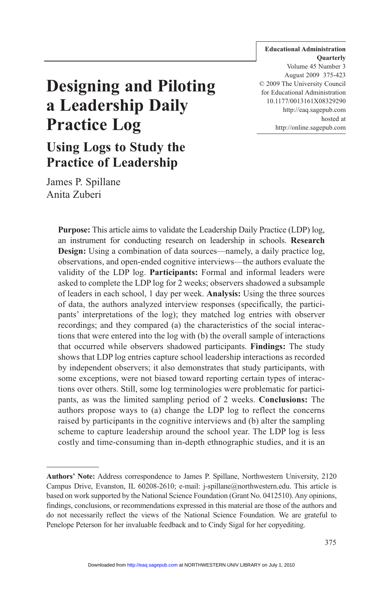#### **Educational Administration Quarterly** Volume 45 Number 3 August 2009 375-423 © 2009 The University Council for Educational Administration 10.1177/0013161X08329290 http://eaq.sagepub.com hosted at http://online.sagepub.com

# **Designing and Piloting a Leadership Daily Practice Log Using Logs to Study the**

**Practice of Leadership**

James P. Spillane Anita Zuberi

> **Purpose:** This article aims to validate the Leadership Daily Practice (LDP) log, an instrument for conducting research on leadership in schools. **Research Design:** Using a combination of data sources—namely, a daily practice log, observations, and open-ended cognitive interviews—the authors evaluate the validity of the LDP log. **Participants:** Formal and informal leaders were asked to complete the LDP log for 2 weeks; observers shadowed a subsample of leaders in each school, 1 day per week. **Analysis:** Using the three sources of data, the authors analyzed interview responses (specifically, the participants' interpretations of the log); they matched log entries with observer recordings; and they compared (a) the characteristics of the social interactions that were entered into the log with (b) the overall sample of interactions that occurred while observers shadowed participants. **Findings:** The study shows that LDP log entries capture school leadership interactions as recorded by independent observers; it also demonstrates that study participants, with some exceptions, were not biased toward reporting certain types of interactions over others. Still, some log terminologies were problematic for participants, as was the limited sampling period of 2 weeks. **Conclusions:** The authors propose ways to (a) change the LDP log to reflect the concerns raised by participants in the cognitive interviews and (b) alter the sampling scheme to capture leadership around the school year. The LDP log is less costly and time-consuming than in-depth ethnographic studies, and it is an

**Authors' Note:** Address correspondence to James P. Spillane, Northwestern University, 2120 Campus Drive, Evanston, IL 60208-2610; e-mail: j-spillane@northwestern.edu. This article is based on work supported by the National Science Foundation (Grant No. 0412510). Any opinions, findings, conclusions, or recommendations expressed in this material are those of the authors and do not necessarily reflect the views of the National Science Foundation. We are grateful to Penelope Peterson for her invaluable feedback and to Cindy Sigal for her copyediting.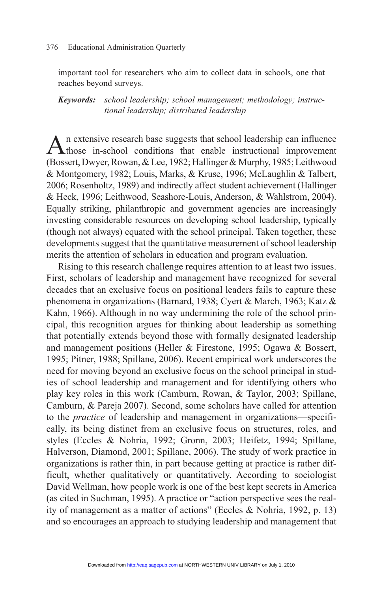important tool for researchers who aim to collect data in schools, one that reaches beyond surveys.

*Keywords: school leadership; school management; methodology; instructional leadership; distributed leadership*

An extensive research base suggests that school leadership can influence in-school conditions that enable instructional improvement (Bossert, Dwyer, Rowan, & Lee, 1982; Hallinger & Murphy, 1985; Leithwood & Montgomery, 1982; Louis, Marks, & Kruse, 1996; McLaughlin & Talbert, 2006; Rosenholtz, 1989) and indirectly affect student achievement (Hallinger & Heck, 1996; Leithwood, Seashore-Louis, Anderson, & Wahlstrom, 2004). Equally striking, philanthropic and government agencies are increasingly investing considerable resources on developing school leadership, typically (though not always) equated with the school principal. Taken together, these developments suggest that the quantitative measurement of school leadership merits the attention of scholars in education and program evaluation.

Rising to this research challenge requires attention to at least two issues. First, scholars of leadership and management have recognized for several decades that an exclusive focus on positional leaders fails to capture these phenomena in organizations (Barnard, 1938; Cyert & March, 1963; Katz & Kahn, 1966). Although in no way undermining the role of the school principal, this recognition argues for thinking about leadership as something that potentially extends beyond those with formally designated leadership and management positions (Heller & Firestone, 1995; Ogawa & Bossert, 1995; Pitner, 1988; Spillane, 2006). Recent empirical work underscores the need for moving beyond an exclusive focus on the school principal in studies of school leadership and management and for identifying others who play key roles in this work (Camburn, Rowan, & Taylor, 2003; Spillane, Camburn, & Pareja 2007). Second, some scholars have called for attention to the *practice* of leadership and management in organizations—specifically, its being distinct from an exclusive focus on structures, roles, and styles (Eccles & Nohria, 1992; Gronn, 2003; Heifetz, 1994; Spillane, Halverson, Diamond, 2001; Spillane, 2006). The study of work practice in organizations is rather thin, in part because getting at practice is rather difficult, whether qualitatively or quantitatively. According to sociologist David Wellman, how people work is one of the best kept secrets in America (as cited in Suchman, 1995). A practice or "action perspective sees the reality of management as a matter of actions" (Eccles & Nohria, 1992, p. 13) and so encourages an approach to studying leadership and management that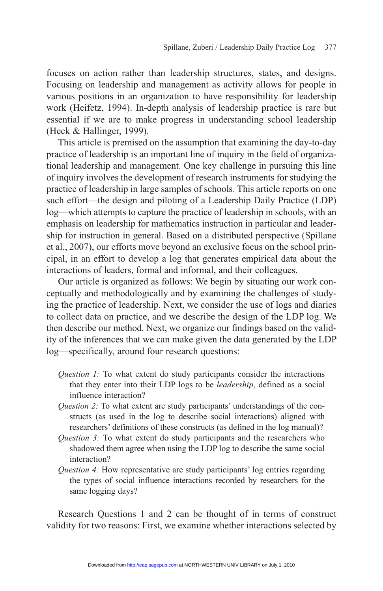focuses on action rather than leadership structures, states, and designs. Focusing on leadership and management as activity allows for people in various positions in an organization to have responsibility for leadership work (Heifetz, 1994). In-depth analysis of leadership practice is rare but essential if we are to make progress in understanding school leadership (Heck & Hallinger, 1999).

This article is premised on the assumption that examining the day-to-day practice of leadership is an important line of inquiry in the field of organizational leadership and management. One key challenge in pursuing this line of inquiry involves the development of research instruments for studying the practice of leadership in large samples of schools. This article reports on one such effort—the design and piloting of a Leadership Daily Practice (LDP) log—which attempts to capture the practice of leadership in schools, with an emphasis on leadership for mathematics instruction in particular and leadership for instruction in general. Based on a distributed perspective (Spillane et al., 2007), our efforts move beyond an exclusive focus on the school principal, in an effort to develop a log that generates empirical data about the interactions of leaders, formal and informal, and their colleagues.

Our article is organized as follows: We begin by situating our work conceptually and methodologically and by examining the challenges of studying the practice of leadership. Next, we consider the use of logs and diaries to collect data on practice, and we describe the design of the LDP log. We then describe our method. Next, we organize our findings based on the validity of the inferences that we can make given the data generated by the LDP log—specifically, around four research questions:

- *Question 1:* To what extent do study participants consider the interactions that they enter into their LDP logs to be *leadership*, defined as a social influence interaction?
- *Question 2:* To what extent are study participants' understandings of the constructs (as used in the log to describe social interactions) aligned with researchers' definitions of these constructs (as defined in the log manual)?
- *Question 3:* To what extent do study participants and the researchers who shadowed them agree when using the LDP log to describe the same social interaction?
- *Question 4:* How representative are study participants' log entries regarding the types of social influence interactions recorded by researchers for the same logging days?

Research Questions 1 and 2 can be thought of in terms of construct validity for two reasons: First, we examine whether interactions selected by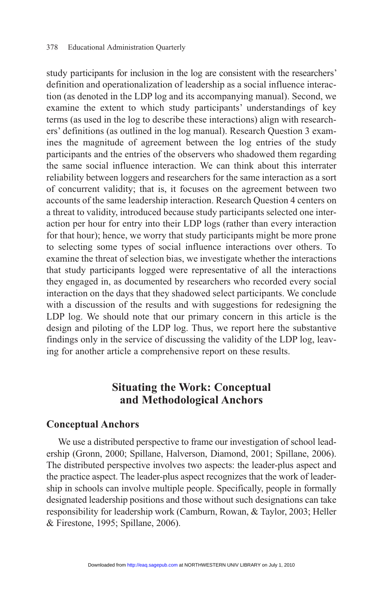study participants for inclusion in the log are consistent with the researchers' definition and operationalization of leadership as a social influence interaction (as denoted in the LDP log and its accompanying manual). Second, we examine the extent to which study participants' understandings of key terms (as used in the log to describe these interactions) align with researchers' definitions (as outlined in the log manual). Research Question 3 examines the magnitude of agreement between the log entries of the study participants and the entries of the observers who shadowed them regarding the same social influence interaction. We can think about this interrater reliability between loggers and researchers for the same interaction as a sort of concurrent validity; that is, it focuses on the agreement between two accounts of the same leadership interaction. Research Question 4 centers on a threat to validity, introduced because study participants selected one interaction per hour for entry into their LDP logs (rather than every interaction for that hour); hence, we worry that study participants might be more prone to selecting some types of social influence interactions over others. To examine the threat of selection bias, we investigate whether the interactions that study participants logged were representative of all the interactions they engaged in, as documented by researchers who recorded every social interaction on the days that they shadowed select participants. We conclude with a discussion of the results and with suggestions for redesigning the LDP log. We should note that our primary concern in this article is the design and piloting of the LDP log. Thus, we report here the substantive findings only in the service of discussing the validity of the LDP log, leaving for another article a comprehensive report on these results.

#### **Situating the Work: Conceptual and Methodological Anchors**

#### **Conceptual Anchors**

We use a distributed perspective to frame our investigation of school leadership (Gronn, 2000; Spillane, Halverson, Diamond, 2001; Spillane, 2006). The distributed perspective involves two aspects: the leader-plus aspect and the practice aspect. The leader-plus aspect recognizes that the work of leadership in schools can involve multiple people. Specifically, people in formally designated leadership positions and those without such designations can take responsibility for leadership work (Camburn, Rowan, & Taylor, 2003; Heller & Firestone, 1995; Spillane, 2006).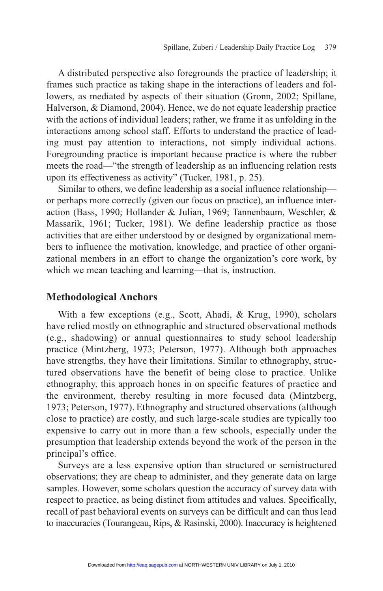A distributed perspective also foregrounds the practice of leadership; it frames such practice as taking shape in the interactions of leaders and followers, as mediated by aspects of their situation (Gronn, 2002; Spillane, Halverson, & Diamond, 2004). Hence, we do not equate leadership practice with the actions of individual leaders; rather, we frame it as unfolding in the interactions among school staff. Efforts to understand the practice of leading must pay attention to interactions, not simply individual actions. Foregrounding practice is important because practice is where the rubber meets the road—"the strength of leadership as an influencing relation rests upon its effectiveness as activity" (Tucker, 1981, p. 25).

Similar to others, we define leadership as a social influence relationship or perhaps more correctly (given our focus on practice), an influence interaction (Bass, 1990; Hollander & Julian, 1969; Tannenbaum, Weschler, & Massarik, 1961; Tucker, 1981). We define leadership practice as those activities that are either understood by or designed by organizational members to influence the motivation, knowledge, and practice of other organizational members in an effort to change the organization's core work, by which we mean teaching and learning—that is, instruction.

#### **Methodological Anchors**

With a few exceptions (e.g., Scott, Ahadi, & Krug, 1990), scholars have relied mostly on ethnographic and structured observational methods (e.g., shadowing) or annual questionnaires to study school leadership practice (Mintzberg, 1973; Peterson, 1977). Although both approaches have strengths, they have their limitations. Similar to ethnography, structured observations have the benefit of being close to practice. Unlike ethnography, this approach hones in on specific features of practice and the environment, thereby resulting in more focused data (Mintzberg, 1973; Peterson, 1977). Ethnography and structured observations (although close to practice) are costly, and such large-scale studies are typically too expensive to carry out in more than a few schools, especially under the presumption that leadership extends beyond the work of the person in the principal's office.

Surveys are a less expensive option than structured or semistructured observations; they are cheap to administer, and they generate data on large samples. However, some scholars question the accuracy of survey data with respect to practice, as being distinct from attitudes and values. Specifically, recall of past behavioral events on surveys can be difficult and can thus lead to inaccuracies (Tourangeau, Rips, & Rasinski, 2000). Inaccuracy is heightened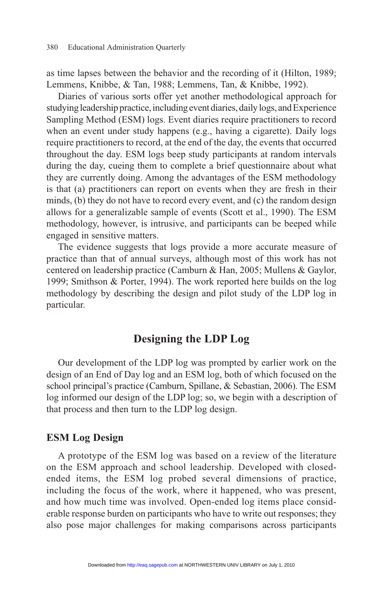as time lapses between the behavior and the recording of it (Hilton, 1989; Lemmens, Knibbe, & Tan, 1988; Lemmens, Tan, & Knibbe, 1992).

Diaries of various sorts offer yet another methodological approach for studying leadership practice, including event diaries, daily logs, and Experience Sampling Method (ESM) logs. Event diaries require practitioners to record when an event under study happens (e.g., having a cigarette). Daily logs require practitioners to record, at the end of the day, the events that occurred throughout the day. ESM logs beep study participants at random intervals during the day, cueing them to complete a brief questionnaire about what they are currently doing. Among the advantages of the ESM methodology is that (a) practitioners can report on events when they are fresh in their minds, (b) they do not have to record every event, and (c) the random design allows for a generalizable sample of events (Scott et al., 1990). The ESM methodology, however, is intrusive, and participants can be beeped while engaged in sensitive matters.

The evidence suggests that logs provide a more accurate measure of practice than that of annual surveys, although most of this work has not centered on leadership practice (Camburn & Han, 2005; Mullens & Gaylor, 1999; Smithson & Porter, 1994). The work reported here builds on the log methodology by describing the design and pilot study of the LDP log in particular.

# **Designing the LDP Log**

Our development of the LDP log was prompted by earlier work on the design of an End of Day log and an ESM log, both of which focused on the school principal's practice (Camburn, Spillane, & Sebastian, 2006). The ESM log informed our design of the LDP log; so, we begin with a description of that process and then turn to the LDP log design.

#### **ESM Log Design**

A prototype of the ESM log was based on a review of the literature on the ESM approach and school leadership. Developed with closedended items, the ESM log probed several dimensions of practice, including the focus of the work, where it happened, who was present, and how much time was involved. Open-ended log items place considerable response burden on participants who have to write out responses; they also pose major challenges for making comparisons across participants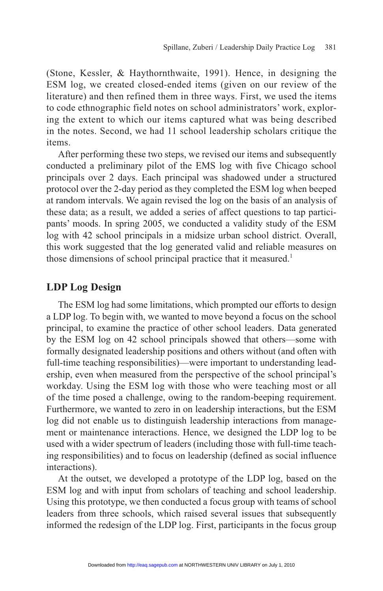(Stone, Kessler, & Haythornthwaite, 1991). Hence, in designing the ESM log, we created closed-ended items (given on our review of the literature) and then refined them in three ways. First, we used the items to code ethnographic field notes on school administrators' work, exploring the extent to which our items captured what was being described in the notes. Second, we had 11 school leadership scholars critique the items.

After performing these two steps, we revised our items and subsequently conducted a preliminary pilot of the EMS log with five Chicago school principals over 2 days. Each principal was shadowed under a structured protocol over the 2-day period as they completed the ESM log when beeped at random intervals. We again revised the log on the basis of an analysis of these data; as a result, we added a series of affect questions to tap participants' moods. In spring 2005, we conducted a validity study of the ESM log with 42 school principals in a midsize urban school district. Overall, this work suggested that the log generated valid and reliable measures on those dimensions of school principal practice that it measured.<sup>1</sup>

#### **LDP Log Design**

The ESM log had some limitations, which prompted our efforts to design a LDP log. To begin with, we wanted to move beyond a focus on the school principal, to examine the practice of other school leaders. Data generated by the ESM log on 42 school principals showed that others—some with formally designated leadership positions and others without (and often with full-time teaching responsibilities)—were important to understanding leadership, even when measured from the perspective of the school principal's workday. Using the ESM log with those who were teaching most or all of the time posed a challenge, owing to the random-beeping requirement. Furthermore, we wanted to zero in on leadership interactions, but the ESM log did not enable us to distinguish leadership interactions from management or maintenance interactions. Hence, we designed the LDP log to be used with a wider spectrum of leaders (including those with full-time teaching responsibilities) and to focus on leadership (defined as social influence interactions).

At the outset, we developed a prototype of the LDP log, based on the ESM log and with input from scholars of teaching and school leadership. Using this prototype, we then conducted a focus group with teams of school leaders from three schools, which raised several issues that subsequently informed the redesign of the LDP log. First, participants in the focus group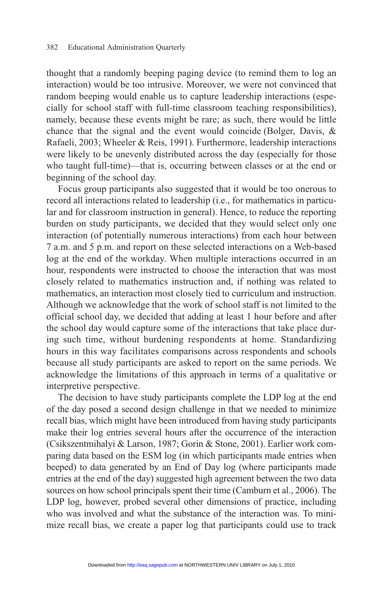thought that a randomly beeping paging device (to remind them to log an interaction) would be too intrusive. Moreover, we were not convinced that random beeping would enable us to capture leadership interactions (especially for school staff with full-time classroom teaching responsibilities), namely, because these events might be rare; as such, there would be little chance that the signal and the event would coincide (Bolger, Davis, & Rafaeli, 2003; Wheeler & Reis, 1991). Furthermore, leadership interactions were likely to be unevenly distributed across the day (especially for those who taught full-time)—that is, occurring between classes or at the end or beginning of the school day.

Focus group participants also suggested that it would be too onerous to record all interactions related to leadership (i.e., for mathematics in particular and for classroom instruction in general). Hence, to reduce the reporting burden on study participants, we decided that they would select only one interaction (of potentially numerous interactions) from each hour between 7 a.m. and 5 p.m. and report on these selected interactions on a Web-based log at the end of the workday. When multiple interactions occurred in an hour, respondents were instructed to choose the interaction that was most closely related to mathematics instruction and, if nothing was related to mathematics, an interaction most closely tied to curriculum and instruction. Although we acknowledge that the work of school staff is not limited to the official school day, we decided that adding at least 1 hour before and after the school day would capture some of the interactions that take place during such time, without burdening respondents at home. Standardizing hours in this way facilitates comparisons across respondents and schools because all study participants are asked to report on the same periods. We acknowledge the limitations of this approach in terms of a qualitative or interpretive perspective.

The decision to have study participants complete the LDP log at the end of the day posed a second design challenge in that we needed to minimize recall bias, which might have been introduced from having study participants make their log entries several hours after the occurrence of the interaction (Csikszentmihalyi & Larson, 1987; Gorin & Stone, 2001). Earlier work comparing data based on the ESM log (in which participants made entries when beeped) to data generated by an End of Day log (where participants made entries at the end of the day) suggested high agreement between the two data sources on how school principals spent their time (Camburn et al., 2006). The LDP log, however, probed several other dimensions of practice, including who was involved and what the substance of the interaction was. To minimize recall bias, we create a paper log that participants could use to track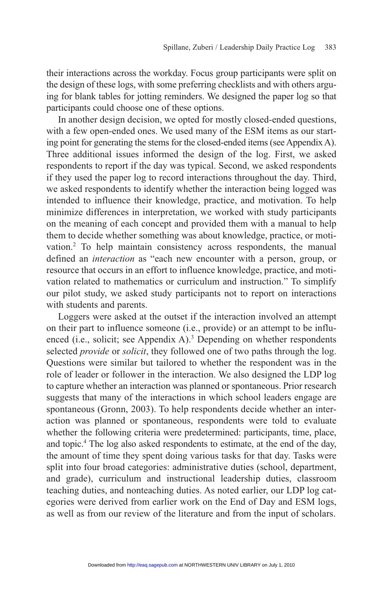their interactions across the workday. Focus group participants were split on the design of these logs, with some preferring checklists and with others arguing for blank tables for jotting reminders. We designed the paper log so that participants could choose one of these options.

In another design decision, we opted for mostly closed-ended questions, with a few open-ended ones. We used many of the ESM items as our starting point for generating the stems for the closed-ended items (see Appendix A). Three additional issues informed the design of the log. First, we asked respondents to report if the day was typical. Second, we asked respondents if they used the paper log to record interactions throughout the day. Third, we asked respondents to identify whether the interaction being logged was intended to influence their knowledge, practice, and motivation. To help minimize differences in interpretation, we worked with study participants on the meaning of each concept and provided them with a manual to help them to decide whether something was about knowledge, practice, or motivation.2 To help maintain consistency across respondents, the manual defined an *interaction* as "each new encounter with a person, group, or resource that occurs in an effort to influence knowledge, practice, and motivation related to mathematics or curriculum and instruction." To simplify our pilot study, we asked study participants not to report on interactions with students and parents.

Loggers were asked at the outset if the interaction involved an attempt on their part to influence someone (i.e., provide) or an attempt to be influenced (i.e., solicit; see Appendix A).<sup>3</sup> Depending on whether respondents selected *provide* or *solicit*, they followed one of two paths through the log. Questions were similar but tailored to whether the respondent was in the role of leader or follower in the interaction. We also designed the LDP log to capture whether an interaction was planned or spontaneous. Prior research suggests that many of the interactions in which school leaders engage are spontaneous (Gronn, 2003). To help respondents decide whether an interaction was planned or spontaneous, respondents were told to evaluate whether the following criteria were predetermined: participants, time, place, and topic.4 The log also asked respondents to estimate, at the end of the day, the amount of time they spent doing various tasks for that day. Tasks were split into four broad categories: administrative duties (school, department, and grade), curriculum and instructional leadership duties, classroom teaching duties, and nonteaching duties. As noted earlier, our LDP log categories were derived from earlier work on the End of Day and ESM logs, as well as from our review of the literature and from the input of scholars.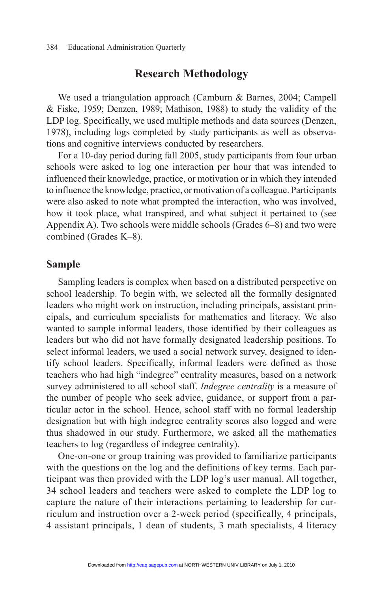# **Research Methodology**

We used a triangulation approach (Camburn & Barnes, 2004; Campell & Fiske, 1959; Denzen, 1989; Mathison, 1988) to study the validity of the LDP log. Specifically, we used multiple methods and data sources (Denzen, 1978), including logs completed by study participants as well as observations and cognitive interviews conducted by researchers.

For a 10-day period during fall 2005, study participants from four urban schools were asked to log one interaction per hour that was intended to influenced their knowledge, practice, or motivation or in which they intended to influence the knowledge, practice, or motivation of a colleague. Participants were also asked to note what prompted the interaction, who was involved, how it took place, what transpired, and what subject it pertained to (see Appendix A). Two schools were middle schools (Grades 6–8) and two were combined (Grades K–8).

#### **Sample**

Sampling leaders is complex when based on a distributed perspective on school leadership. To begin with, we selected all the formally designated leaders who might work on instruction, including principals, assistant principals, and curriculum specialists for mathematics and literacy. We also wanted to sample informal leaders, those identified by their colleagues as leaders but who did not have formally designated leadership positions. To select informal leaders, we used a social network survey, designed to identify school leaders. Specifically, informal leaders were defined as those teachers who had high "indegree" centrality measures, based on a network survey administered to all school staff. *Indegree centrality* is a measure of the number of people who seek advice, guidance, or support from a particular actor in the school. Hence, school staff with no formal leadership designation but with high indegree centrality scores also logged and were thus shadowed in our study. Furthermore, we asked all the mathematics teachers to log (regardless of indegree centrality).

One-on-one or group training was provided to familiarize participants with the questions on the log and the definitions of key terms. Each participant was then provided with the LDP log's user manual. All together, 34 school leaders and teachers were asked to complete the LDP log to capture the nature of their interactions pertaining to leadership for curriculum and instruction over a 2-week period (specifically, 4 principals, 4 assistant principals, 1 dean of students, 3 math specialists, 4 literacy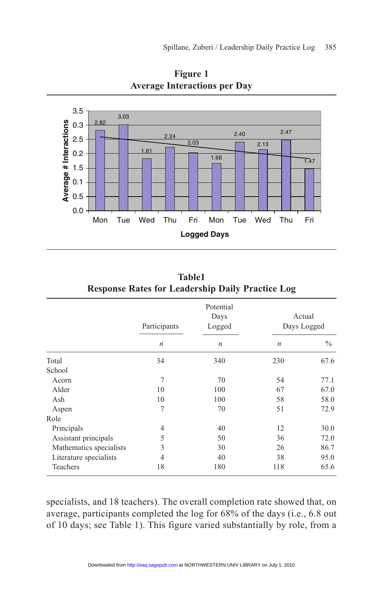

**Figure 1 Average Interactions per Day**

|                         |                  | Potential        |                  |               |
|-------------------------|------------------|------------------|------------------|---------------|
|                         |                  | Days             |                  | Actual        |
|                         | Participants     | Logged           |                  | Days Logged   |
|                         | $\boldsymbol{n}$ | $\boldsymbol{n}$ | $\boldsymbol{n}$ | $\frac{0}{0}$ |
| Total                   | 34               | 340              | 230              | 67.6          |
| School                  |                  |                  |                  |               |
| Acorn                   | 7                | 70               | 54               | 77.1          |
| Alder                   | 10               | 100              | 67               | 67.0          |
| Ash                     | 10               | 100              | 58               | 58.0          |
| Aspen                   | 7                | 70               | 51               | 72.9          |
| Role                    |                  |                  |                  |               |
| Principals              | 4                | 40               | 12               | 30.0          |
| Assistant principals    | 5                | 50               | 36               | 72.0          |
| Mathematics specialists | 3                | 30               | 26               | 86.7          |
| Literature specialists  | $\overline{4}$   | 40               | 38               | 95.0          |
| Teachers                | 18               | 180              | 118              | 65.6          |

**Table1 Response Rates for Leadership Daily Practice Log**

specialists, and 18 teachers). The overall completion rate showed that, on average, participants completed the log for 68% of the days (i.e., 6.8 out of 10 days; see Table 1). This figure varied substantially by role, from a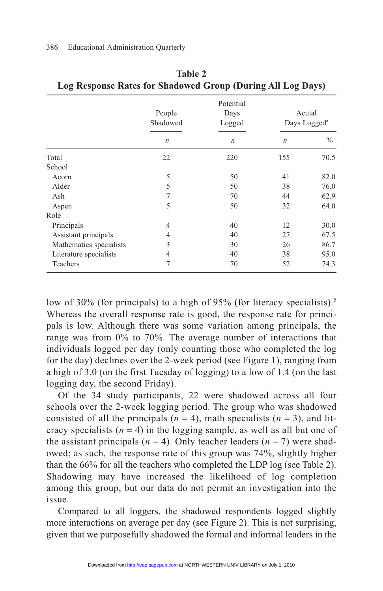|                         | People<br>Shadowed | Potential<br>Days<br>Logged |                  | Acutal<br>Days Logged <sup>a</sup> |
|-------------------------|--------------------|-----------------------------|------------------|------------------------------------|
|                         | $\boldsymbol{n}$   | $\boldsymbol{n}$            | $\boldsymbol{n}$ | $\frac{0}{0}$                      |
| Total                   | 22                 | 220                         | 155              | 70.5                               |
| School                  |                    |                             |                  |                                    |
| Acorn                   | 5                  | 50                          | 41               | 82.0                               |
| Alder                   | 5                  | 50                          | 38               | 76.0                               |
| Ash                     | 7                  | 70                          | 44               | 62.9                               |
| Aspen                   | 5                  | 50                          | 32               | 64.0                               |
| Role                    |                    |                             |                  |                                    |
| Principals              | 4                  | 40                          | 12               | 30.0                               |
| Assistant principals    | 4                  | 40                          | 27               | 67.5                               |
| Mathematics specialists | 3                  | 30                          | 26               | 86.7                               |
| Literature specialists  | 4                  | 40                          | 38               | 95.0                               |
| Teachers                | 7                  | 70                          | 52               | 74.3                               |

**Table 2 Log Response Rates for Shadowed Group (During All Log Days)**

low of 30% (for principals) to a high of 95% (for literacy specialists).<sup>5</sup> Whereas the overall response rate is good, the response rate for principals is low. Although there was some variation among principals, the range was from 0% to 70%. The average number of interactions that individuals logged per day (only counting those who completed the log for the day) declines over the 2-week period (see Figure 1), ranging from a high of 3.0 (on the first Tuesday of logging) to a low of 1.4 (on the last logging day, the second Friday).

Of the 34 study participants, 22 were shadowed across all four schools over the 2-week logging period. The group who was shadowed consisted of all the principals ( $n = 4$ ), math specialists ( $n = 3$ ), and literacy specialists  $(n = 4)$  in the logging sample, as well as all but one of the assistant principals ( $n = 4$ ). Only teacher leaders ( $n = 7$ ) were shadowed; as such, the response rate of this group was 74%, slightly higher than the 66% for all the teachers who completed the LDP log (see Table 2). Shadowing may have increased the likelihood of log completion among this group, but our data do not permit an investigation into the issue.

Compared to all loggers, the shadowed respondents logged slightly more interactions on average per day (see Figure 2). This is not surprising, given that we purposefully shadowed the formal and informal leaders in the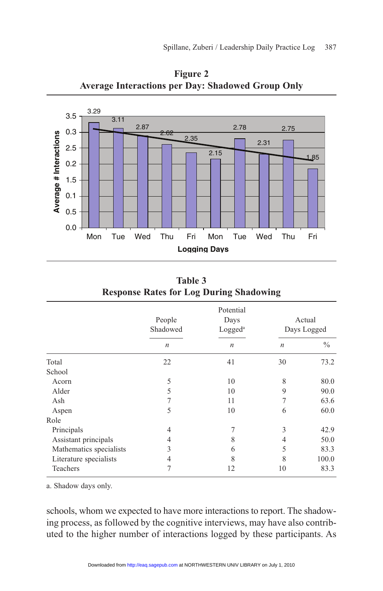

**Figure 2 Average Interactions per Day: Shadowed Group Only**

|  | Table 3 |                                                |
|--|---------|------------------------------------------------|
|  |         | <b>Response Rates for Log During Shadowing</b> |

|                         | People<br>Shadowed | Potential<br>Days<br>Logged <sup>a</sup> |                  | Actual<br>Days Logged |
|-------------------------|--------------------|------------------------------------------|------------------|-----------------------|
|                         | $\boldsymbol{n}$   | $\boldsymbol{n}$                         | $\boldsymbol{n}$ | $\frac{0}{0}$         |
| Total                   | 22                 | 41                                       | 30               | 73.2                  |
| School                  |                    |                                          |                  |                       |
| Acorn                   | 5                  | 10                                       | 8                | 80.0                  |
| Alder                   | 5                  | 10                                       | 9                | 90.0                  |
| Ash                     |                    | 11                                       | 7                | 63.6                  |
| Aspen                   | 5                  | 10                                       | 6                | 60.0                  |
| Role                    |                    |                                          |                  |                       |
| Principals              | 4                  | 7                                        | 3                | 42.9                  |
| Assistant principals    | 4                  | 8                                        | 4                | 50.0                  |
| Mathematics specialists | 3                  | 6                                        | 5                | 83.3                  |
| Literature specialists  | 4                  | 8                                        | 8                | 100.0                 |
| Teachers                | 7                  | 12                                       | 10               | 83.3                  |

a. Shadow days only.

schools, whom we expected to have more interactions to report. The shadowing process, as followed by the cognitive interviews, may have also contributed to the higher number of interactions logged by these participants. As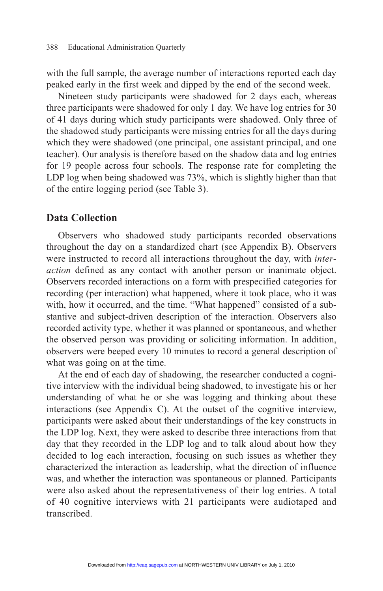with the full sample, the average number of interactions reported each day peaked early in the first week and dipped by the end of the second week.

Nineteen study participants were shadowed for 2 days each, whereas three participants were shadowed for only 1 day. We have log entries for 30 of 41 days during which study participants were shadowed. Only three of the shadowed study participants were missing entries for all the days during which they were shadowed (one principal, one assistant principal, and one teacher). Our analysis is therefore based on the shadow data and log entries for 19 people across four schools. The response rate for completing the LDP log when being shadowed was 73%, which is slightly higher than that of the entire logging period (see Table 3).

#### **Data Collection**

Observers who shadowed study participants recorded observations throughout the day on a standardized chart (see Appendix B). Observers were instructed to record all interactions throughout the day, with *interaction* defined as any contact with another person or inanimate object. Observers recorded interactions on a form with prespecified categories for recording (per interaction) what happened, where it took place, who it was with, how it occurred, and the time. "What happened" consisted of a substantive and subject-driven description of the interaction. Observers also recorded activity type, whether it was planned or spontaneous, and whether the observed person was providing or soliciting information. In addition, observers were beeped every 10 minutes to record a general description of what was going on at the time.

At the end of each day of shadowing, the researcher conducted a cognitive interview with the individual being shadowed, to investigate his or her understanding of what he or she was logging and thinking about these interactions (see Appendix C). At the outset of the cognitive interview, participants were asked about their understandings of the key constructs in the LDP log. Next, they were asked to describe three interactions from that day that they recorded in the LDP log and to talk aloud about how they decided to log each interaction, focusing on such issues as whether they characterized the interaction as leadership, what the direction of influence was, and whether the interaction was spontaneous or planned. Participants were also asked about the representativeness of their log entries. A total of 40 cognitive interviews with 21 participants were audiotaped and transcribed.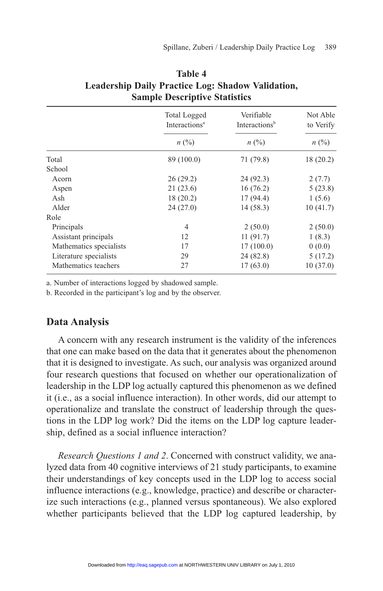|                         | <b>Total Logged</b><br><b>Interactions</b> <sup>a</sup> | Verifiable<br>Interactions <sup>b</sup> | Not Able<br>to Verify |
|-------------------------|---------------------------------------------------------|-----------------------------------------|-----------------------|
|                         | $n\ (\%)$                                               | $n\ (\%)$                               | $n\ (\%)$             |
| Total                   | 89 (100.0)                                              | 71 (79.8)                               | 18(20.2)              |
| School                  |                                                         |                                         |                       |
| Acorn                   | 26(29.2)                                                | 24 (92.3)                               | 2(7.7)                |
| Aspen                   | 21(23.6)                                                | 16(76.2)                                | 5(23.8)               |
| Ash                     | 18(20.2)                                                | 17 (94.4)                               | 1(5.6)                |
| Alder                   | 24(27.0)                                                | 14(58.3)                                | 10(41.7)              |
| Role                    |                                                         |                                         |                       |
| Principals              | $\overline{4}$                                          | 2(50.0)                                 | 2(50.0)               |
| Assistant principals    | 12                                                      | 11(91.7)                                | 1(8.3)                |
| Mathematics specialists | 17                                                      | 17(100.0)                               | 0(0.0)                |
| Literature specialists  | 29                                                      | 24 (82.8)                               | 5(17.2)               |
| Mathematics teachers    | 27                                                      | 17(63.0)                                | 10(37.0)              |
|                         |                                                         |                                         |                       |

#### **Table 4 Leadership Daily Practice Log: Shadow Validation, Sample Descriptive Statistics**

a. Number of interactions logged by shadowed sample.

b. Recorded in the participant's log and by the observer.

#### **Data Analysis**

A concern with any research instrument is the validity of the inferences that one can make based on the data that it generates about the phenomenon that it is designed to investigate. As such, our analysis was organized around four research questions that focused on whether our operationalization of leadership in the LDP log actually captured this phenomenon as we defined it (i.e., as a social influence interaction). In other words, did our attempt to operationalize and translate the construct of leadership through the questions in the LDP log work? Did the items on the LDP log capture leadership, defined as a social influence interaction?

*Research Questions 1 and 2*. Concerned with construct validity, we analyzed data from 40 cognitive interviews of 21 study participants, to examine their understandings of key concepts used in the LDP log to access social influence interactions (e.g., knowledge, practice) and describe or characterize such interactions (e.g., planned versus spontaneous). We also explored whether participants believed that the LDP log captured leadership, by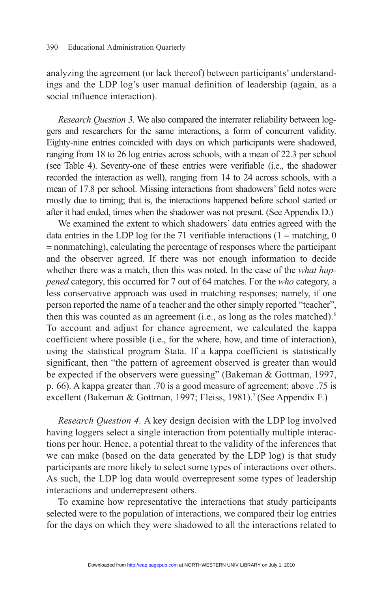analyzing the agreement (or lack thereof) between participants' understandings and the LDP log's user manual definition of leadership (again, as a social influence interaction).

*Research Question 3*. We also compared the interrater reliability between loggers and researchers for the same interactions, a form of concurrent validity. Eighty-nine entries coincided with days on which participants were shadowed, ranging from 18 to 26 log entries across schools, with a mean of 22.3 per school (see Table 4). Seventy-one of these entries were verifiable (i.e., the shadower recorded the interaction as well), ranging from 14 to 24 across schools, with a mean of 17.8 per school. Missing interactions from shadowers' field notes were mostly due to timing; that is, the interactions happened before school started or after it had ended, times when the shadower was not present. (See Appendix D.)

We examined the extent to which shadowers' data entries agreed with the data entries in the LDP log for the 71 verifiable interactions  $(1 = \text{matching}, 0$ = nonmatching), calculating the percentage of responses where the participant and the observer agreed. If there was not enough information to decide whether there was a match, then this was noted. In the case of the *what happened* category, this occurred for 7 out of 64 matches. For the *who* category, a less conservative approach was used in matching responses; namely, if one person reported the name of a teacher and the other simply reported "teacher", then this was counted as an agreement (i.e., as long as the roles matched).<sup>6</sup> To account and adjust for chance agreement, we calculated the kappa coefficient where possible (i.e., for the where, how, and time of interaction), using the statistical program Stata. If a kappa coefficient is statistically significant, then "the pattern of agreement observed is greater than would be expected if the observers were guessing" (Bakeman & Gottman, 1997, p. 66). A kappa greater than .70 is a good measure of agreement; above .75 is excellent (Bakeman & Gottman, 1997; Fleiss, 1981).<sup>7</sup> (See Appendix F.)

*Research Question 4*. A key design decision with the LDP log involved having loggers select a single interaction from potentially multiple interactions per hour. Hence, a potential threat to the validity of the inferences that we can make (based on the data generated by the LDP log) is that study participants are more likely to select some types of interactions over others. As such, the LDP log data would overrepresent some types of leadership interactions and underrepresent others.

To examine how representative the interactions that study participants selected were to the population of interactions, we compared their log entries for the days on which they were shadowed to all the interactions related to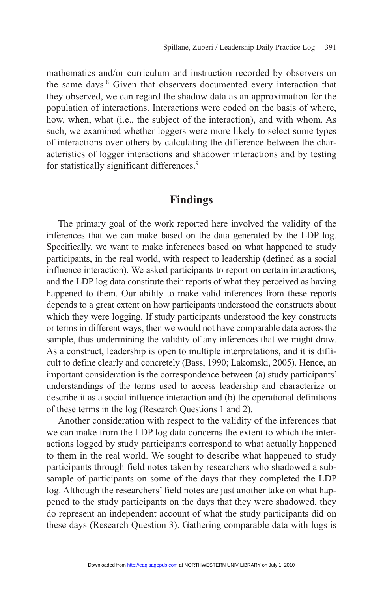mathematics and/or curriculum and instruction recorded by observers on the same days.<sup>8</sup> Given that observers documented every interaction that they observed, we can regard the shadow data as an approximation for the population of interactions. Interactions were coded on the basis of where, how, when, what (i.e., the subject of the interaction), and with whom. As such, we examined whether loggers were more likely to select some types of interactions over others by calculating the difference between the characteristics of logger interactions and shadower interactions and by testing for statistically significant differences.<sup>9</sup>

## **Findings**

The primary goal of the work reported here involved the validity of the inferences that we can make based on the data generated by the LDP log. Specifically, we want to make inferences based on what happened to study participants, in the real world, with respect to leadership (defined as a social influence interaction). We asked participants to report on certain interactions, and the LDP log data constitute their reports of what they perceived as having happened to them. Our ability to make valid inferences from these reports depends to a great extent on how participants understood the constructs about which they were logging. If study participants understood the key constructs or terms in different ways, then we would not have comparable data across the sample, thus undermining the validity of any inferences that we might draw. As a construct, leadership is open to multiple interpretations, and it is difficult to define clearly and concretely (Bass, 1990; Lakomski, 2005). Hence, an important consideration is the correspondence between (a) study participants' understandings of the terms used to access leadership and characterize or describe it as a social influence interaction and (b) the operational definitions of these terms in the log (Research Questions 1 and 2).

Another consideration with respect to the validity of the inferences that we can make from the LDP log data concerns the extent to which the interactions logged by study participants correspond to what actually happened to them in the real world. We sought to describe what happened to study participants through field notes taken by researchers who shadowed a subsample of participants on some of the days that they completed the LDP log. Although the researchers' field notes are just another take on what happened to the study participants on the days that they were shadowed, they do represent an independent account of what the study participants did on these days (Research Question 3). Gathering comparable data with logs is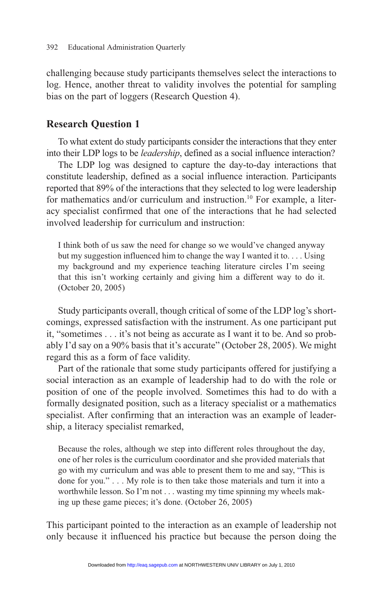challenging because study participants themselves select the interactions to log. Hence, another threat to validity involves the potential for sampling bias on the part of loggers (Research Question 4).

#### **Research Question 1**

To what extent do study participants consider the interactions that they enter into their LDP logs to be *leadership*, defined as a social influence interaction?

The LDP log was designed to capture the day-to-day interactions that constitute leadership, defined as a social influence interaction. Participants reported that 89% of the interactions that they selected to log were leadership for mathematics and/or curriculum and instruction.<sup>10</sup> For example, a literacy specialist confirmed that one of the interactions that he had selected involved leadership for curriculum and instruction:

I think both of us saw the need for change so we would've changed anyway but my suggestion influenced him to change the way I wanted it to. . . . Using my background and my experience teaching literature circles I'm seeing that this isn't working certainly and giving him a different way to do it. (October 20, 2005)

Study participants overall, though critical of some of the LDP log's shortcomings, expressed satisfaction with the instrument. As one participant put it, "sometimes . . . it's not being as accurate as I want it to be. And so probably I'd say on a 90% basis that it's accurate" (October 28, 2005). We might regard this as a form of face validity.

Part of the rationale that some study participants offered for justifying a social interaction as an example of leadership had to do with the role or position of one of the people involved. Sometimes this had to do with a formally designated position, such as a literacy specialist or a mathematics specialist. After confirming that an interaction was an example of leadership, a literacy specialist remarked,

Because the roles, although we step into different roles throughout the day, one of her roles is the curriculum coordinator and she provided materials that go with my curriculum and was able to present them to me and say, "This is done for you." . . . My role is to then take those materials and turn it into a worthwhile lesson. So I'm not . . . wasting my time spinning my wheels making up these game pieces; it's done. (October 26, 2005)

This participant pointed to the interaction as an example of leadership not only because it influenced his practice but because the person doing the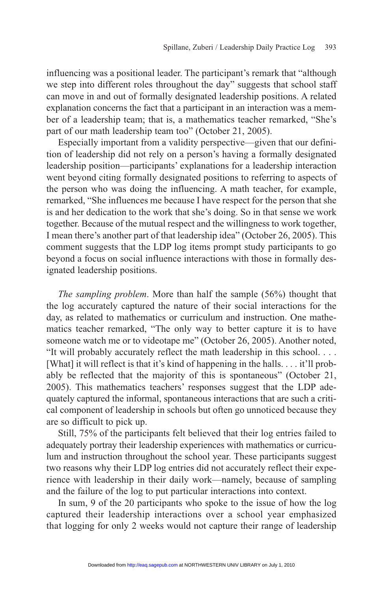influencing was a positional leader. The participant's remark that "although we step into different roles throughout the day" suggests that school staff can move in and out of formally designated leadership positions. A related explanation concerns the fact that a participant in an interaction was a member of a leadership team; that is, a mathematics teacher remarked, "She's part of our math leadership team too" (October 21, 2005).

Especially important from a validity perspective—given that our definition of leadership did not rely on a person's having a formally designated leadership position—participants' explanations for a leadership interaction went beyond citing formally designated positions to referring to aspects of the person who was doing the influencing. A math teacher, for example, remarked, "She influences me because I have respect for the person that she is and her dedication to the work that she's doing. So in that sense we work together. Because of the mutual respect and the willingness to work together, I mean there's another part of that leadership idea" (October 26, 2005). This comment suggests that the LDP log items prompt study participants to go beyond a focus on social influence interactions with those in formally designated leadership positions.

*The sampling problem*. More than half the sample (56%) thought that the log accurately captured the nature of their social interactions for the day, as related to mathematics or curriculum and instruction. One mathematics teacher remarked, "The only way to better capture it is to have someone watch me or to videotape me" (October 26, 2005). Another noted, "It will probably accurately reflect the math leadership in this school. . . . [What] it will reflect is that it's kind of happening in the halls. . . . it'll probably be reflected that the majority of this is spontaneous" (October 21, 2005). This mathematics teachers' responses suggest that the LDP adequately captured the informal, spontaneous interactions that are such a critical component of leadership in schools but often go unnoticed because they are so difficult to pick up.

Still, 75% of the participants felt believed that their log entries failed to adequately portray their leadership experiences with mathematics or curriculum and instruction throughout the school year. These participants suggest two reasons why their LDP log entries did not accurately reflect their experience with leadership in their daily work—namely, because of sampling and the failure of the log to put particular interactions into context.

In sum, 9 of the 20 participants who spoke to the issue of how the log captured their leadership interactions over a school year emphasized that logging for only 2 weeks would not capture their range of leadership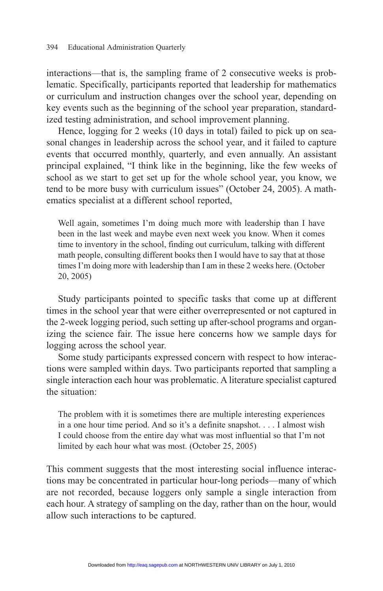interactions—that is, the sampling frame of 2 consecutive weeks is problematic. Specifically, participants reported that leadership for mathematics or curriculum and instruction changes over the school year, depending on key events such as the beginning of the school year preparation, standardized testing administration, and school improvement planning.

Hence, logging for 2 weeks (10 days in total) failed to pick up on seasonal changes in leadership across the school year, and it failed to capture events that occurred monthly, quarterly, and even annually. An assistant principal explained, "I think like in the beginning, like the few weeks of school as we start to get set up for the whole school year, you know, we tend to be more busy with curriculum issues" (October 24, 2005). A mathematics specialist at a different school reported,

Well again, sometimes I'm doing much more with leadership than I have been in the last week and maybe even next week you know. When it comes time to inventory in the school, finding out curriculum, talking with different math people, consulting different books then I would have to say that at those times I'm doing more with leadership than I am in these 2 weeks here. (October 20, 2005)

Study participants pointed to specific tasks that come up at different times in the school year that were either overrepresented or not captured in the 2-week logging period, such setting up after-school programs and organizing the science fair. The issue here concerns how we sample days for logging across the school year.

Some study participants expressed concern with respect to how interactions were sampled within days. Two participants reported that sampling a single interaction each hour was problematic. A literature specialist captured the situation:

The problem with it is sometimes there are multiple interesting experiences in a one hour time period. And so it's a definite snapshot. . . . I almost wish I could choose from the entire day what was most influential so that I'm not limited by each hour what was most. (October 25, 2005)

This comment suggests that the most interesting social influence interactions may be concentrated in particular hour-long periods—many of which are not recorded, because loggers only sample a single interaction from each hour. A strategy of sampling on the day, rather than on the hour, would allow such interactions to be captured.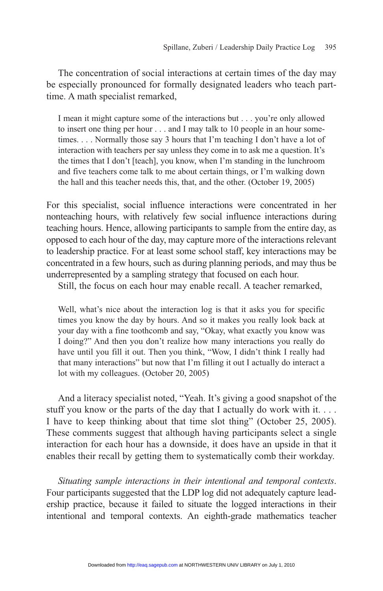The concentration of social interactions at certain times of the day may be especially pronounced for formally designated leaders who teach parttime. A math specialist remarked,

I mean it might capture some of the interactions but . . . you're only allowed to insert one thing per hour . . . and I may talk to 10 people in an hour sometimes. . . . Normally those say 3 hours that I'm teaching I don't have a lot of interaction with teachers per say unless they come in to ask me a question. It's the times that I don't [teach], you know, when I'm standing in the lunchroom and five teachers come talk to me about certain things, or I'm walking down the hall and this teacher needs this, that, and the other. (October 19, 2005)

For this specialist, social influence interactions were concentrated in her nonteaching hours, with relatively few social influence interactions during teaching hours. Hence, allowing participants to sample from the entire day, as opposed to each hour of the day, may capture more of the interactions relevant to leadership practice. For at least some school staff, key interactions may be concentrated in a few hours, such as during planning periods, and may thus be underrepresented by a sampling strategy that focused on each hour.

Still, the focus on each hour may enable recall. A teacher remarked,

Well, what's nice about the interaction log is that it asks you for specific times you know the day by hours. And so it makes you really look back at your day with a fine toothcomb and say, "Okay, what exactly you know was I doing?" And then you don't realize how many interactions you really do have until you fill it out. Then you think, "Wow, I didn't think I really had that many interactions" but now that I'm filling it out I actually do interact a lot with my colleagues. (October 20, 2005)

And a literacy specialist noted, "Yeah. It's giving a good snapshot of the stuff you know or the parts of the day that I actually do work with it. . . . I have to keep thinking about that time slot thing" (October 25, 2005). These comments suggest that although having participants select a single interaction for each hour has a downside, it does have an upside in that it enables their recall by getting them to systematically comb their workday.

*Situating sample interactions in their intentional and temporal contexts*. Four participants suggested that the LDP log did not adequately capture leadership practice, because it failed to situate the logged interactions in their intentional and temporal contexts. An eighth-grade mathematics teacher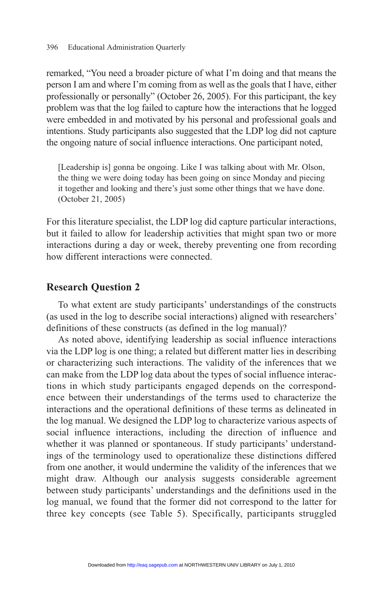remarked, "You need a broader picture of what I'm doing and that means the person I am and where I'm coming from as well as the goals that I have, either professionally or personally" (October 26, 2005). For this participant, the key problem was that the log failed to capture how the interactions that he logged were embedded in and motivated by his personal and professional goals and intentions. Study participants also suggested that the LDP log did not capture the ongoing nature of social influence interactions. One participant noted,

[Leadership is] gonna be ongoing. Like I was talking about with Mr. Olson, the thing we were doing today has been going on since Monday and piecing it together and looking and there's just some other things that we have done. (October 21, 2005)

For this literature specialist, the LDP log did capture particular interactions, but it failed to allow for leadership activities that might span two or more interactions during a day or week, thereby preventing one from recording how different interactions were connected.

#### **Research Question 2**

To what extent are study participants' understandings of the constructs (as used in the log to describe social interactions) aligned with researchers' definitions of these constructs (as defined in the log manual)?

As noted above, identifying leadership as social influence interactions via the LDP log is one thing; a related but different matter lies in describing or characterizing such interactions. The validity of the inferences that we can make from the LDP log data about the types of social influence interactions in which study participants engaged depends on the correspondence between their understandings of the terms used to characterize the interactions and the operational definitions of these terms as delineated in the log manual. We designed the LDP log to characterize various aspects of social influence interactions, including the direction of influence and whether it was planned or spontaneous. If study participants' understandings of the terminology used to operationalize these distinctions differed from one another, it would undermine the validity of the inferences that we might draw. Although our analysis suggests considerable agreement between study participants' understandings and the definitions used in the log manual, we found that the former did not correspond to the latter for three key concepts (see Table 5). Specifically, participants struggled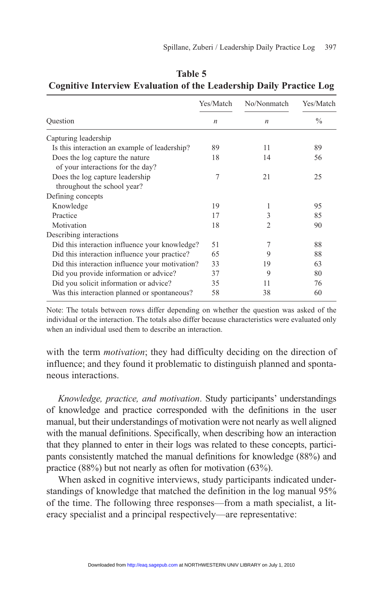|                                                 | Yes/Match        | No/Nonmatch      | Yes/Match     |
|-------------------------------------------------|------------------|------------------|---------------|
| Question                                        | $\boldsymbol{n}$ | $\boldsymbol{n}$ | $\frac{0}{0}$ |
| Capturing leadership                            |                  |                  |               |
| Is this interaction an example of leadership?   | 89               | 11               | 89            |
| Does the log capture the nature                 | 18               | 14               | 56            |
| of your interactions for the day?               |                  |                  |               |
| Does the log capture leadership                 | 7                | 21               | 25            |
| throughout the school year?                     |                  |                  |               |
| Defining concepts                               |                  |                  |               |
| Knowledge                                       | 19               |                  | 95            |
| Practice                                        | 17               | 3                | 85            |
| Motivation                                      | 18               | $\mathfrak{D}$   | 90            |
| Describing interactions                         |                  |                  |               |
| Did this interaction influence your knowledge?  | 51               | 7                | 88            |
| Did this interaction influence your practice?   | 65               | 9                | 88            |
| Did this interaction influence your motivation? | 33               | 19               | 63            |
| Did you provide information or advice?          | 37               | 9                | 80            |
| Did you solicit information or advice?          | 35               | 11               | 76            |
| Was this interaction planned or spontaneous?    | 58               | 38               | 60            |

**Table 5 Cognitive Interview Evaluation of the Leadership Daily Practice Log**

Note: The totals between rows differ depending on whether the question was asked of the individual or the interaction. The totals also differ because characteristics were evaluated only when an individual used them to describe an interaction.

with the term *motivation*; they had difficulty deciding on the direction of influence; and they found it problematic to distinguish planned and spontaneous interactions.

*Knowledge, practice, and motivation*. Study participants' understandings of knowledge and practice corresponded with the definitions in the user manual, but their understandings of motivation were not nearly as well aligned with the manual definitions. Specifically, when describing how an interaction that they planned to enter in their logs was related to these concepts, participants consistently matched the manual definitions for knowledge (88%) and practice (88%) but not nearly as often for motivation (63%).

When asked in cognitive interviews, study participants indicated understandings of knowledge that matched the definition in the log manual 95% of the time. The following three responses—from a math specialist, a literacy specialist and a principal respectively—are representative: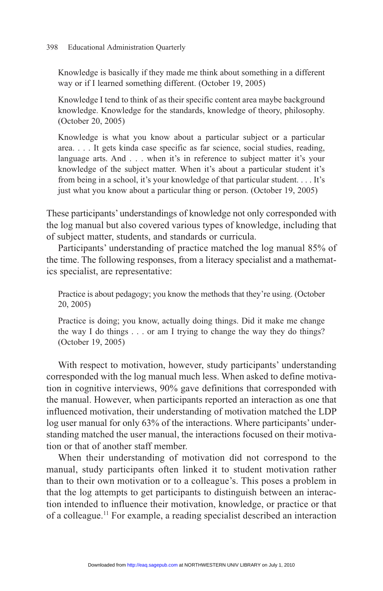Knowledge is basically if they made me think about something in a different way or if I learned something different. (October 19, 2005)

Knowledge I tend to think of as their specific content area maybe background knowledge. Knowledge for the standards, knowledge of theory, philosophy. (October 20, 2005)

Knowledge is what you know about a particular subject or a particular area. . . . It gets kinda case specific as far science, social studies, reading, language arts. And . . . when it's in reference to subject matter it's your knowledge of the subject matter. When it's about a particular student it's from being in a school, it's your knowledge of that particular student. . . . It's just what you know about a particular thing or person. (October 19, 2005)

These participants' understandings of knowledge not only corresponded with the log manual but also covered various types of knowledge, including that of subject matter, students, and standards or curricula.

Participants' understanding of practice matched the log manual 85% of the time. The following responses, from a literacy specialist and a mathematics specialist, are representative:

Practice is about pedagogy; you know the methods that they're using. (October 20, 2005)

Practice is doing; you know, actually doing things. Did it make me change the way I do things . . . or am I trying to change the way they do things? (October 19, 2005)

With respect to motivation, however, study participants' understanding corresponded with the log manual much less. When asked to define motivation in cognitive interviews, 90% gave definitions that corresponded with the manual. However, when participants reported an interaction as one that influenced motivation, their understanding of motivation matched the LDP log user manual for only 63% of the interactions. Where participants' understanding matched the user manual, the interactions focused on their motivation or that of another staff member.

When their understanding of motivation did not correspond to the manual, study participants often linked it to student motivation rather than to their own motivation or to a colleague's. This poses a problem in that the log attempts to get participants to distinguish between an interaction intended to influence their motivation, knowledge, or practice or that of a colleague.11 For example, a reading specialist described an interaction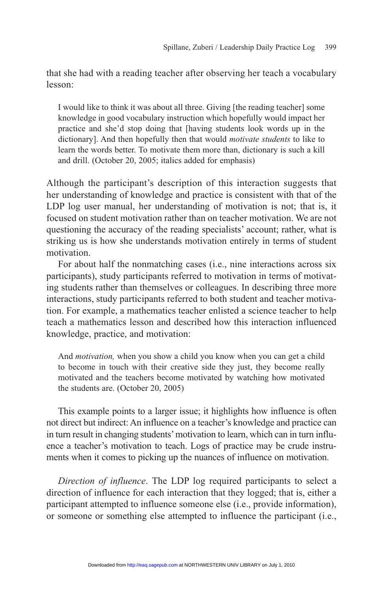that she had with a reading teacher after observing her teach a vocabulary lesson:

I would like to think it was about all three. Giving [the reading teacher] some knowledge in good vocabulary instruction which hopefully would impact her practice and she'd stop doing that [having students look words up in the dictionary]. And then hopefully then that would *motivate students* to like to learn the words better. To motivate them more than, dictionary is such a kill and drill. (October 20, 2005; italics added for emphasis)

Although the participant's description of this interaction suggests that her understanding of knowledge and practice is consistent with that of the LDP log user manual, her understanding of motivation is not; that is, it focused on student motivation rather than on teacher motivation. We are not questioning the accuracy of the reading specialists' account; rather, what is striking us is how she understands motivation entirely in terms of student motivation.

For about half the nonmatching cases (i.e., nine interactions across six participants), study participants referred to motivation in terms of motivating students rather than themselves or colleagues. In describing three more interactions, study participants referred to both student and teacher motivation. For example, a mathematics teacher enlisted a science teacher to help teach a mathematics lesson and described how this interaction influenced knowledge, practice, and motivation:

And *motivation,* when you show a child you know when you can get a child to become in touch with their creative side they just, they become really motivated and the teachers become motivated by watching how motivated the students are. (October 20, 2005)

This example points to a larger issue; it highlights how influence is often not direct but indirect: An influence on a teacher's knowledge and practice can in turn result in changing students' motivation to learn, which can in turn influence a teacher's motivation to teach. Logs of practice may be crude instruments when it comes to picking up the nuances of influence on motivation.

*Direction of influence*. The LDP log required participants to select a direction of influence for each interaction that they logged; that is, either a participant attempted to influence someone else (i.e., provide information), or someone or something else attempted to influence the participant (i.e.,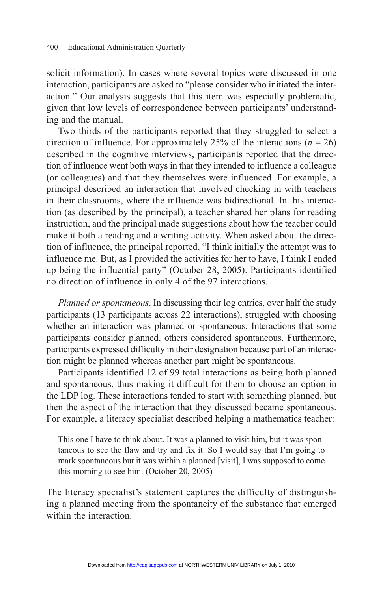solicit information). In cases where several topics were discussed in one interaction, participants are asked to "please consider who initiated the interaction." Our analysis suggests that this item was especially problematic, given that low levels of correspondence between participants' understanding and the manual.

Two thirds of the participants reported that they struggled to select a direction of influence. For approximately 25% of the interactions ( $n = 26$ ) described in the cognitive interviews, participants reported that the direction of influence went both ways in that they intended to influence a colleague (or colleagues) and that they themselves were influenced. For example, a principal described an interaction that involved checking in with teachers in their classrooms, where the influence was bidirectional. In this interaction (as described by the principal), a teacher shared her plans for reading instruction, and the principal made suggestions about how the teacher could make it both a reading and a writing activity. When asked about the direction of influence, the principal reported, "I think initially the attempt was to influence me. But, as I provided the activities for her to have, I think I ended up being the influential party" (October 28, 2005). Participants identified no direction of influence in only 4 of the 97 interactions.

*Planned or spontaneous*. In discussing their log entries, over half the study participants (13 participants across 22 interactions), struggled with choosing whether an interaction was planned or spontaneous. Interactions that some participants consider planned, others considered spontaneous. Furthermore, participants expressed difficulty in their designation because part of an interaction might be planned whereas another part might be spontaneous.

Participants identified 12 of 99 total interactions as being both planned and spontaneous, thus making it difficult for them to choose an option in the LDP log. These interactions tended to start with something planned, but then the aspect of the interaction that they discussed became spontaneous. For example, a literacy specialist described helping a mathematics teacher:

This one I have to think about. It was a planned to visit him, but it was spontaneous to see the flaw and try and fix it. So I would say that I'm going to mark spontaneous but it was within a planned [visit], I was supposed to come this morning to see him. (October 20, 2005)

The literacy specialist's statement captures the difficulty of distinguishing a planned meeting from the spontaneity of the substance that emerged within the interaction.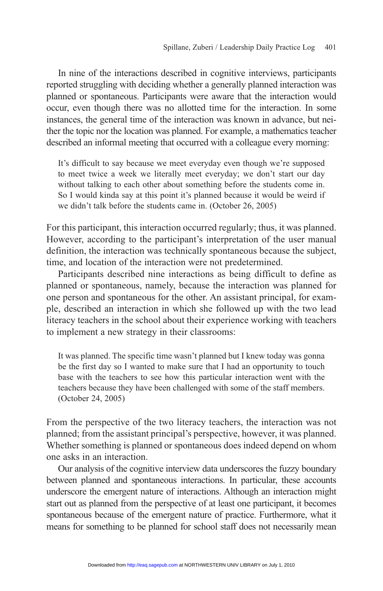In nine of the interactions described in cognitive interviews, participants reported struggling with deciding whether a generally planned interaction was planned or spontaneous. Participants were aware that the interaction would occur, even though there was no allotted time for the interaction. In some instances, the general time of the interaction was known in advance, but neither the topic nor the location was planned. For example, a mathematics teacher described an informal meeting that occurred with a colleague every morning:

It's difficult to say because we meet everyday even though we're supposed to meet twice a week we literally meet everyday; we don't start our day without talking to each other about something before the students come in. So I would kinda say at this point it's planned because it would be weird if we didn't talk before the students came in. (October 26, 2005)

For this participant, this interaction occurred regularly; thus, it was planned. However, according to the participant's interpretation of the user manual definition, the interaction was technically spontaneous because the subject, time, and location of the interaction were not predetermined.

Participants described nine interactions as being difficult to define as planned or spontaneous, namely, because the interaction was planned for one person and spontaneous for the other. An assistant principal, for example, described an interaction in which she followed up with the two lead literacy teachers in the school about their experience working with teachers to implement a new strategy in their classrooms:

It was planned. The specific time wasn't planned but I knew today was gonna be the first day so I wanted to make sure that I had an opportunity to touch base with the teachers to see how this particular interaction went with the teachers because they have been challenged with some of the staff members. (October 24, 2005)

From the perspective of the two literacy teachers, the interaction was not planned; from the assistant principal's perspective, however, it was planned. Whether something is planned or spontaneous does indeed depend on whom one asks in an interaction.

Our analysis of the cognitive interview data underscores the fuzzy boundary between planned and spontaneous interactions. In particular, these accounts underscore the emergent nature of interactions. Although an interaction might start out as planned from the perspective of at least one participant, it becomes spontaneous because of the emergent nature of practice. Furthermore, what it means for something to be planned for school staff does not necessarily mean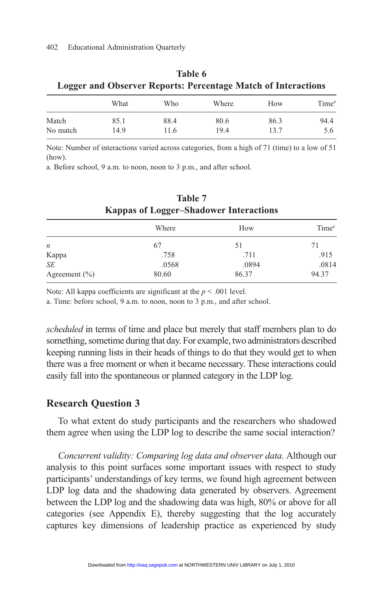|          | Logger and Observer Keppins. I creentage mater or micraetions |      |       |      |                   |
|----------|---------------------------------------------------------------|------|-------|------|-------------------|
|          | What                                                          | Who  | Where | How  | Time <sup>a</sup> |
| Match    | 85.1                                                          | 88.4 | 80.6  | 86.3 | 94.4              |
| No match | 14.9                                                          | 11.6 | 19.4  | 13.7 | 5.6               |

**Table 6 Logger and Observer Reports: Percentage Match of Interactions**

Note: Number of interactions varied across categories, from a high of 71 (time) to a low of 51 (how).

a. Before school, 9 a.m. to noon, noon to 3 p.m., and after school.

|                   | <b>Kappas of Logger-Shadower Interactions</b> |       |                   |
|-------------------|-----------------------------------------------|-------|-------------------|
|                   | Where                                         | How   | Time <sup>a</sup> |
| $\boldsymbol{n}$  | 67                                            | 51    | 71                |
| Kappa             | .758                                          | .711  | .915              |
| SE                | .0568                                         | .0894 | .0814             |
| Agreement $(\% )$ | 80.60                                         | 86.37 | 94.37             |

# **Table 7**

Note: All kappa coefficients are significant at the  $p < .001$  level.

a. Time: before school, 9 a.m. to noon, noon to 3 p.m., and after school.

*scheduled* in terms of time and place but merely that staff members plan to do something, sometime during that day. For example, two administrators described keeping running lists in their heads of things to do that they would get to when there was a free moment or when it became necessary. These interactions could easily fall into the spontaneous or planned category in the LDP log.

#### **Research Question 3**

To what extent do study participants and the researchers who shadowed them agree when using the LDP log to describe the same social interaction?

*Concurrent validity: Comparing log data and observer data*. Although our analysis to this point surfaces some important issues with respect to study participants' understandings of key terms, we found high agreement between LDP log data and the shadowing data generated by observers. Agreement between the LDP log and the shadowing data was high, 80% or above for all categories (see Appendix E), thereby suggesting that the log accurately captures key dimensions of leadership practice as experienced by study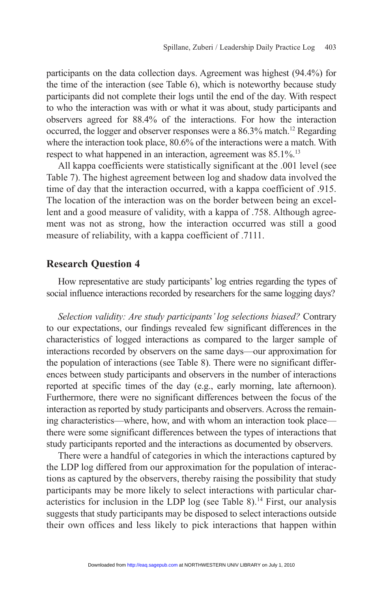participants on the data collection days. Agreement was highest (94.4%) for the time of the interaction (see Table 6), which is noteworthy because study participants did not complete their logs until the end of the day. With respect to who the interaction was with or what it was about, study participants and observers agreed for 88.4% of the interactions. For how the interaction occurred, the logger and observer responses were a 86.3% match.12 Regarding where the interaction took place, 80.6% of the interactions were a match. With respect to what happened in an interaction, agreement was  $85.1\%$ <sup>13</sup>

All kappa coefficients were statistically significant at the .001 level (see Table 7). The highest agreement between log and shadow data involved the time of day that the interaction occurred, with a kappa coefficient of .915. The location of the interaction was on the border between being an excellent and a good measure of validity, with a kappa of .758. Although agreement was not as strong, how the interaction occurred was still a good measure of reliability, with a kappa coefficient of .7111.

#### **Research Question 4**

How representative are study participants' log entries regarding the types of social influence interactions recorded by researchers for the same logging days?

*Selection validity: Are study participants' log selections biased?* Contrary to our expectations, our findings revealed few significant differences in the characteristics of logged interactions as compared to the larger sample of interactions recorded by observers on the same days—our approximation for the population of interactions (see Table 8). There were no significant differences between study participants and observers in the number of interactions reported at specific times of the day (e.g., early morning, late afternoon). Furthermore, there were no significant differences between the focus of the interaction as reported by study participants and observers. Across the remaining characteristics—where, how, and with whom an interaction took place there were some significant differences between the types of interactions that study participants reported and the interactions as documented by observers.

There were a handful of categories in which the interactions captured by the LDP log differed from our approximation for the population of interactions as captured by the observers, thereby raising the possibility that study participants may be more likely to select interactions with particular characteristics for inclusion in the LDP log (see Table 8).<sup>14</sup> First, our analysis suggests that study participants may be disposed to select interactions outside their own offices and less likely to pick interactions that happen within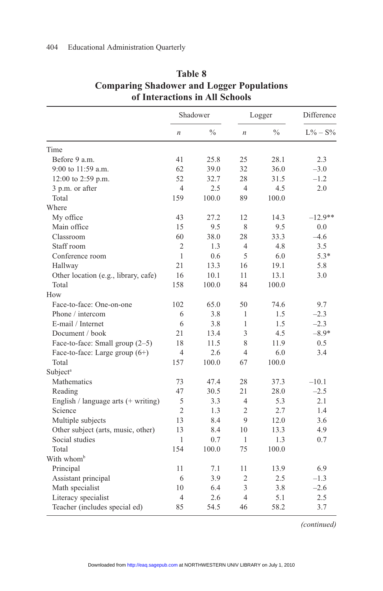|                                      | Shadower         |               |                  | Logger        | Difference  |  |
|--------------------------------------|------------------|---------------|------------------|---------------|-------------|--|
|                                      | $\boldsymbol{n}$ | $\frac{0}{0}$ | $\boldsymbol{n}$ | $\frac{0}{0}$ | $L\% - S\%$ |  |
| Time                                 |                  |               |                  |               |             |  |
| Before 9 a.m.                        | 41               | 25.8          | 25               | 28.1          | 2.3         |  |
| 9:00 to 11:59 a.m.                   | 62               | 39.0          | 32               | 36.0          | $-3.0$      |  |
| 12:00 to 2:59 p.m.                   | 52               | 32.7          | 28               | 31.5          | $-1.2$      |  |
| 3 p.m. or after                      | $\overline{4}$   | 2.5           | $\overline{4}$   | 4.5           | 2.0         |  |
| Total                                | 159              | 100.0         | 89               | 100.0         |             |  |
| Where                                |                  |               |                  |               |             |  |
| My office                            | 43               | 27.2          | 12               | 14.3          | $-12.9**$   |  |
| Main office                          | 15               | 9.5           | 8                | 9.5           | 0.0         |  |
| Classroom                            | 60               | 38.0          | 28               | 33.3          | $-4.6$      |  |
| Staff room                           | $\overline{2}$   | 1.3           | $\overline{4}$   | 4.8           | 3.5         |  |
| Conference room                      | 1                | 0.6           | 5                | 6.0           | $5.3*$      |  |
| Hallway                              | 21               | 13.3          | 16               | 19.1          | 5.8         |  |
| Other location (e.g., library, cafe) | 16               | 10.1          | 11               | 13.1          | 3.0         |  |
| Total                                | 158              | 100.0         | 84               | 100.0         |             |  |
| How                                  |                  |               |                  |               |             |  |
| Face-to-face: One-on-one             | 102              | 65.0          | 50               | 74.6          | 9.7         |  |
| Phone / intercom                     | 6                | 3.8           | $\mathbf{1}$     | 1.5           | $-2.3$      |  |
| E-mail / Internet                    | 6                | 3.8           | $\mathbf{1}$     | 1.5           | $-2.3$      |  |
| Document / book                      | 21               | 13.4          | 3                | 4.5           | $-8.9*$     |  |
| Face-to-face: Small group (2-5)      | 18               | 11.5          | 8                | 11.9          | $0.5\,$     |  |
| Face-to-face: Large group $(6+)$     | $\overline{4}$   | 2.6           | $\overline{4}$   | 6.0           | 3.4         |  |
| Total                                | 157              | 100.0         | 67               | 100.0         |             |  |
| Subject <sup>a</sup>                 |                  |               |                  |               |             |  |
| Mathematics                          | 73               | 47.4          | 28               | 37.3          | $-10.1$     |  |
| Reading                              | 47               | 30.5          | 21               | 28.0          | $-2.5$      |  |
| English / language arts (+ writing)  | 5                | 3.3           | $\overline{4}$   | 5.3           | 2.1         |  |
| Science                              | $\overline{c}$   | 1.3           | $\overline{c}$   | 2.7           | 1.4         |  |
| Multiple subjects                    | 13               | 8.4           | 9                | 12.0          | 3.6         |  |
| Other subject (arts, music, other)   | 13               | 8.4           | 10               | 13.3          | 4.9         |  |
| Social studies                       | 1                | 0.7           | $\mathbf{1}$     | 1.3           | 0.7         |  |
| Total                                | 154              | 100.0         | 75               | 100.0         |             |  |
| With whom <sup>b</sup>               |                  |               |                  |               |             |  |
| Principal                            | 11               | 7.1           | 11               | 13.9          | 6.9         |  |
| Assistant principal                  | 6                | 3.9           | $\overline{2}$   | 2.5           | $-1.3$      |  |
| Math specialist                      | 10               | 6.4           | 3                | 3.8           | $-2.6$      |  |
| Literacy specialist                  | $\overline{4}$   | 2.6           | $\overline{4}$   | 5.1           | 2.5         |  |
| Teacher (includes special ed)        | 85               | 54.5          | 46               | 58.2          | 3.7         |  |

#### **Table 8 Comparing Shadower and Logger Populations of Interactions in All Schools**

*(continued)*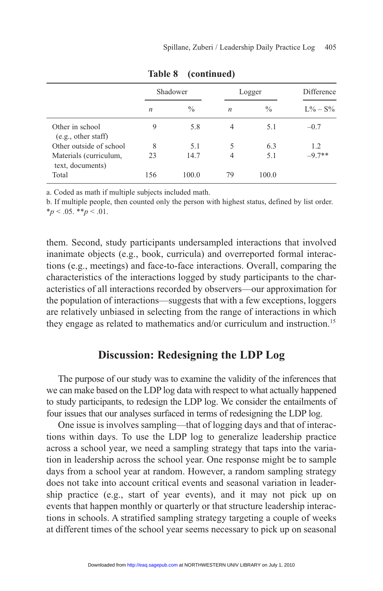|                                            | Shadower         |               |                  | Logger        | Difference  |  |
|--------------------------------------------|------------------|---------------|------------------|---------------|-------------|--|
|                                            | $\boldsymbol{n}$ | $\frac{0}{0}$ | $\boldsymbol{n}$ | $\frac{0}{0}$ | $L\% - S\%$ |  |
| Other in school<br>(e.g., other staff)     | 9                | 5.8           | 4                | 5.1           | $-0.7$      |  |
| Other outside of school                    | 8                | 5.1           | 5                | 6.3           | 1.2         |  |
| Materials (curriculum,<br>text, documents) | 23               | 14.7          | 4                | 5.1           | $-9.7**$    |  |
| Total                                      | 156              | 100.0         | 79               | 100.0         |             |  |

**Table 8 (continued)**

a. Coded as math if multiple subjects included math.

b. If multiple people, then counted only the person with highest status, defined by list order.  $*_{p}$  < .05.  $*_{p}$  < .01.

them. Second, study participants undersampled interactions that involved inanimate objects (e.g., book, curricula) and overreported formal interactions (e.g., meetings) and face-to-face interactions. Overall, comparing the characteristics of the interactions logged by study participants to the characteristics of all interactions recorded by observers—our approximation for the population of interactions—suggests that with a few exceptions, loggers are relatively unbiased in selecting from the range of interactions in which they engage as related to mathematics and/or curriculum and instruction.<sup>15</sup>

### **Discussion: Redesigning the LDP Log**

The purpose of our study was to examine the validity of the inferences that we can make based on the LDP log data with respect to what actually happened to study participants, to redesign the LDP log. We consider the entailments of four issues that our analyses surfaced in terms of redesigning the LDP log.

One issue is involves sampling—that of logging days and that of interactions within days. To use the LDP log to generalize leadership practice across a school year, we need a sampling strategy that taps into the variation in leadership across the school year. One response might be to sample days from a school year at random. However, a random sampling strategy does not take into account critical events and seasonal variation in leadership practice (e.g., start of year events), and it may not pick up on events that happen monthly or quarterly or that structure leadership interactions in schools. A stratified sampling strategy targeting a couple of weeks at different times of the school year seems necessary to pick up on seasonal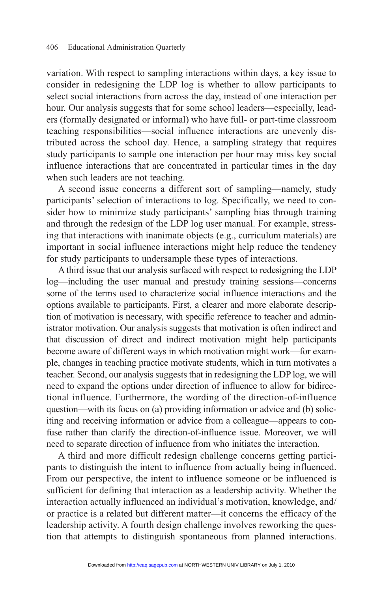variation. With respect to sampling interactions within days, a key issue to consider in redesigning the LDP log is whether to allow participants to select social interactions from across the day, instead of one interaction per hour. Our analysis suggests that for some school leaders—especially, leaders (formally designated or informal) who have full- or part-time classroom teaching responsibilities—social influence interactions are unevenly distributed across the school day. Hence, a sampling strategy that requires study participants to sample one interaction per hour may miss key social influence interactions that are concentrated in particular times in the day when such leaders are not teaching.

A second issue concerns a different sort of sampling—namely, study participants' selection of interactions to log. Specifically, we need to consider how to minimize study participants' sampling bias through training and through the redesign of the LDP log user manual. For example, stressing that interactions with inanimate objects (e.g., curriculum materials) are important in social influence interactions might help reduce the tendency for study participants to undersample these types of interactions.

A third issue that our analysis surfaced with respect to redesigning the LDP log—including the user manual and prestudy training sessions—concerns some of the terms used to characterize social influence interactions and the options available to participants. First, a clearer and more elaborate description of motivation is necessary, with specific reference to teacher and administrator motivation. Our analysis suggests that motivation is often indirect and that discussion of direct and indirect motivation might help participants become aware of different ways in which motivation might work—for example, changes in teaching practice motivate students, which in turn motivates a teacher. Second, our analysis suggests that in redesigning the LDP log, we will need to expand the options under direction of influence to allow for bidirectional influence. Furthermore, the wording of the direction-of-influence question—with its focus on (a) providing information or advice and (b) soliciting and receiving information or advice from a colleague—appears to confuse rather than clarify the direction-of-influence issue. Moreover, we will need to separate direction of influence from who initiates the interaction.

A third and more difficult redesign challenge concerns getting participants to distinguish the intent to influence from actually being influenced. From our perspective, the intent to influence someone or be influenced is sufficient for defining that interaction as a leadership activity. Whether the interaction actually influenced an individual's motivation, knowledge, and/ or practice is a related but different matter—it concerns the efficacy of the leadership activity. A fourth design challenge involves reworking the question that attempts to distinguish spontaneous from planned interactions.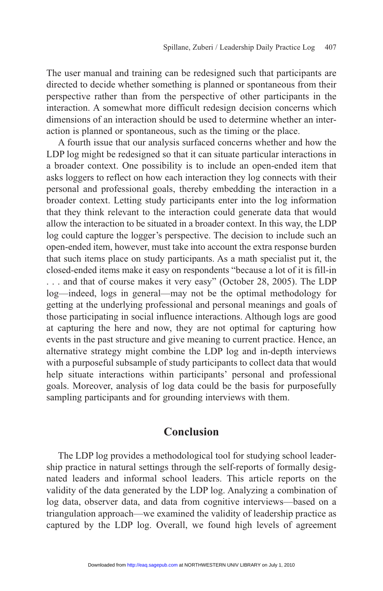The user manual and training can be redesigned such that participants are directed to decide whether something is planned or spontaneous from their perspective rather than from the perspective of other participants in the interaction. A somewhat more difficult redesign decision concerns which dimensions of an interaction should be used to determine whether an interaction is planned or spontaneous, such as the timing or the place.

A fourth issue that our analysis surfaced concerns whether and how the LDP log might be redesigned so that it can situate particular interactions in a broader context. One possibility is to include an open-ended item that asks loggers to reflect on how each interaction they log connects with their personal and professional goals, thereby embedding the interaction in a broader context. Letting study participants enter into the log information that they think relevant to the interaction could generate data that would allow the interaction to be situated in a broader context. In this way, the LDP log could capture the logger's perspective. The decision to include such an open-ended item, however, must take into account the extra response burden that such items place on study participants. As a math specialist put it, the closed-ended items make it easy on respondents "because a lot of it is fill-in . . . and that of course makes it very easy" (October 28, 2005). The LDP log—indeed, logs in general—may not be the optimal methodology for getting at the underlying professional and personal meanings and goals of those participating in social influence interactions. Although logs are good at capturing the here and now, they are not optimal for capturing how events in the past structure and give meaning to current practice. Hence, an alternative strategy might combine the LDP log and in-depth interviews with a purposeful subsample of study participants to collect data that would help situate interactions within participants' personal and professional goals. Moreover, analysis of log data could be the basis for purposefully sampling participants and for grounding interviews with them.

# **Conclusion**

The LDP log provides a methodological tool for studying school leadership practice in natural settings through the self-reports of formally designated leaders and informal school leaders. This article reports on the validity of the data generated by the LDP log. Analyzing a combination of log data, observer data, and data from cognitive interviews—based on a triangulation approach—we examined the validity of leadership practice as captured by the LDP log. Overall, we found high levels of agreement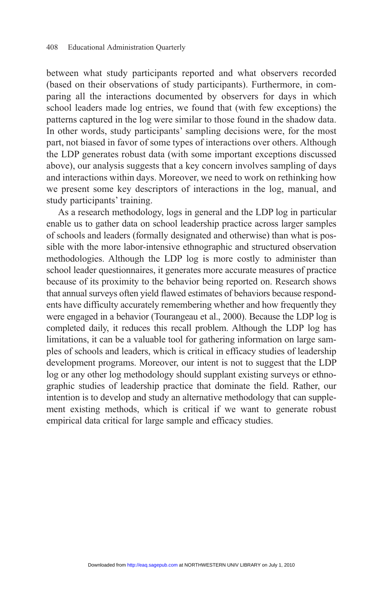between what study participants reported and what observers recorded (based on their observations of study participants). Furthermore, in comparing all the interactions documented by observers for days in which school leaders made log entries, we found that (with few exceptions) the patterns captured in the log were similar to those found in the shadow data. In other words, study participants' sampling decisions were, for the most part, not biased in favor of some types of interactions over others. Although the LDP generates robust data (with some important exceptions discussed above), our analysis suggests that a key concern involves sampling of days and interactions within days. Moreover, we need to work on rethinking how we present some key descriptors of interactions in the log, manual, and study participants' training.

As a research methodology, logs in general and the LDP log in particular enable us to gather data on school leadership practice across larger samples of schools and leaders (formally designated and otherwise) than what is possible with the more labor-intensive ethnographic and structured observation methodologies. Although the LDP log is more costly to administer than school leader questionnaires, it generates more accurate measures of practice because of its proximity to the behavior being reported on. Research shows that annual surveys often yield flawed estimates of behaviors because respondents have difficulty accurately remembering whether and how frequently they were engaged in a behavior (Tourangeau et al., 2000). Because the LDP log is completed daily, it reduces this recall problem. Although the LDP log has limitations, it can be a valuable tool for gathering information on large samples of schools and leaders, which is critical in efficacy studies of leadership development programs. Moreover, our intent is not to suggest that the LDP log or any other log methodology should supplant existing surveys or ethnographic studies of leadership practice that dominate the field. Rather, our intention is to develop and study an alternative methodology that can supplement existing methods, which is critical if we want to generate robust empirical data critical for large sample and efficacy studies.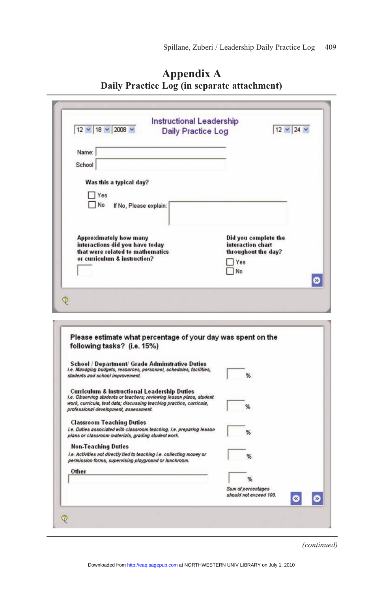**Appendix A Daily Practice Log (in separate attachment)**

| $12 \times 18 \times 2008 \times$<br><b>Daily Practice Log</b>                                                                                                                                                                                                | <b>Instructional Leadership</b><br>$12 \times 24 \times$                |
|---------------------------------------------------------------------------------------------------------------------------------------------------------------------------------------------------------------------------------------------------------------|-------------------------------------------------------------------------|
| Name:                                                                                                                                                                                                                                                         |                                                                         |
| School                                                                                                                                                                                                                                                        |                                                                         |
| Was this a typical day?                                                                                                                                                                                                                                       |                                                                         |
| Yes<br>No<br>If No, Please explain:                                                                                                                                                                                                                           |                                                                         |
| Approximately how many<br>interactions did you have today<br>that were related to mathematics<br>or curriculum & instruction?                                                                                                                                 | Did you complete the<br>interaction chart<br>throughout the day?<br>Yes |
|                                                                                                                                                                                                                                                               | No                                                                      |
| Please estimate what percentage of your day was spent on the                                                                                                                                                                                                  |                                                                         |
| Q<br>following tasks? (i.e. 15%)<br>School / Department/ Grade Adminstrative Duties<br>i.e. Managing budgets, resources, personnel, schedules, facilities,                                                                                                    |                                                                         |
|                                                                                                                                                                                                                                                               | %                                                                       |
| Curriculum & Instructional Leadership Duties                                                                                                                                                                                                                  | %                                                                       |
| students and school improvement.<br>i.e. Observing students or teachers; reviewing lesson plans, student<br>work, curricula, test data; discussing teaching practice, curricula,<br>professional development, assessment.<br><b>Classroom Teaching Duties</b> |                                                                         |
| i.e. Duties associated with classroom teaching. i.e. preparing lesson<br>plans or classroom materials, grading student work.                                                                                                                                  |                                                                         |
| <b>Non-Teaching Duties</b><br>i.e. Activities not directly tied to teaching i.e. collecting money or                                                                                                                                                          | %                                                                       |
| permission forms, supervising playground or lunchroom.<br>Other                                                                                                                                                                                               |                                                                         |

*(continued)*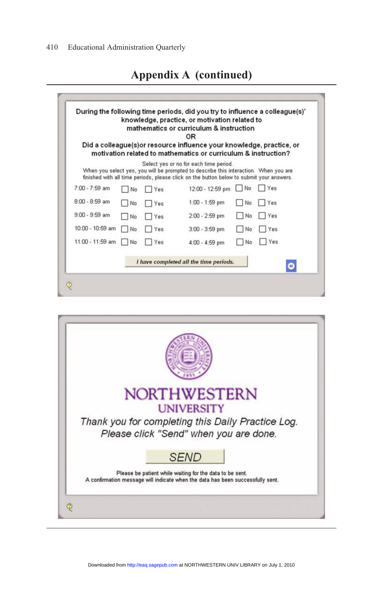|                  |    |            | During the following time periods, did you try to influence a colleague(s)'<br>knowledge, practice, or motivation related to<br>mathematics or curriculum & instruction<br>0 <sub>R</sub>                                  |    |            |
|------------------|----|------------|----------------------------------------------------------------------------------------------------------------------------------------------------------------------------------------------------------------------------|----|------------|
|                  |    |            | Did a colleague(s)or resource influence your knowledge, practice, or<br>motivation related to mathematics or curriculum & instruction?                                                                                     |    |            |
|                  |    |            | Select yes or no for each time period.<br>When you select yes, you will be prompted to describe this interaction. When you are<br>finished with all time periods, please click on the button below to submit your answers. |    |            |
| 7:00 - 7:59 am   | No | Yes        | 12:00 - 12:59 pm                                                                                                                                                                                                           | No | Yes        |
| $8:00 - 8:59$ am | No | <b>Yes</b> | $1:00 - 1:59$ pm                                                                                                                                                                                                           | No | <b>Yes</b> |
| $9:00 - 9:59$ am | No | Yes        | $2:00 - 2:59$ pm                                                                                                                                                                                                           | No | Yes        |
| 10:00 - 10:59 am | No | Yes        | $3:00 - 3:59$ pm                                                                                                                                                                                                           | No | Yes        |
| 11:00 - 11:59 am | No | Yes.       | $4:00 - 4:59$ pm                                                                                                                                                                                                           | No | <b>Yes</b> |
|                  |    |            | I have completed all the time periods.                                                                                                                                                                                     |    | $\alpha$   |



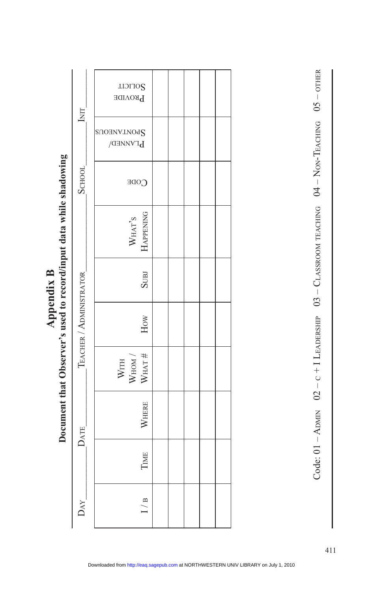Document that Observer's used to record/input data while shadowing **Document that Observer's used to record/input data while shadowing Appendix B Appendix B**

| $\overline{\text{IMT}}$ | <b>TIQLES</b><br><b>PROVIDE</b>                                            |  |  |  |
|-------------------------|----------------------------------------------------------------------------|--|--|--|
|                         | SUOSNATIONS<br><b>PLANNED</b>                                              |  |  |  |
| <b>SCHOOL</b>           | CODE                                                                       |  |  |  |
| TEACHER / ADMINISTRATOR | $\begin{array}{c}\n\text{W} \text{HAT's} \\ \text{HAPPENING}\n\end{array}$ |  |  |  |
|                         | SUBJ                                                                       |  |  |  |
|                         | $\operatorname*{How}$                                                      |  |  |  |
|                         | $\frac{\text{Wth}}{\text{W}_{\text{HAT}}\,\text{\#}}$                      |  |  |  |
| DATE                    | WHERE                                                                      |  |  |  |
|                         | TIME                                                                       |  |  |  |
| DAY                     | 1/8                                                                        |  |  |  |

 $05 -$ OTHER Non-Teaching 05 – other CLASSROOM TEACHING 04 - $DERSHIP$  03 –  $DMDN$  02 – c + I LEA  $\prec$ Code: 01 –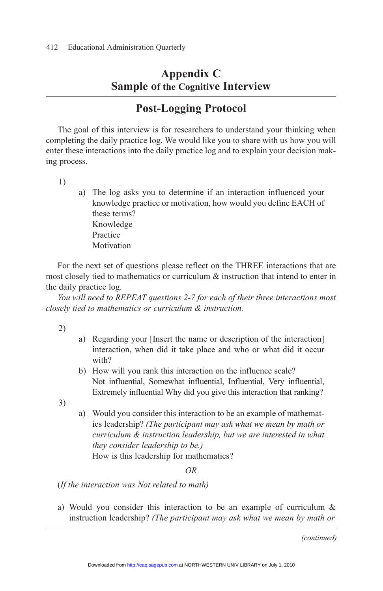# **Appendix C Sample of the Cognitive Interview**

# **Post-Logging Protocol**

The goal of this interview is for researchers to understand your thinking when completing the daily practice log. We would like you to share with us how you will enter these interactions into the daily practice log and to explain your decision making process.

1)

a) The log asks you to determine if an interaction influenced your knowledge practice or motivation, how would you define EACH of these terms? Knowledge Practice **Motivation** 

For the next set of questions please reflect on the THREE interactions that are most closely tied to mathematics or curriculum & instruction that intend to enter in the daily practice log.

*You will need to REPEAT questions 2-7 for each of their three interactions most closely tied to mathematics or curriculum & instruction.*

2)

- a) Regarding your [Insert the name or description of the interaction] interaction, when did it take place and who or what did it occur with?
- b) How will you rank this interaction on the influence scale? Not influential, Somewhat influential, Influential, Very influential, Extremely influential Why did you give this interaction that ranking?

3)

a) Would you consider this interaction to be an example of mathematics leadership? *(The participant may ask what we mean by math or curriculum & instruction leadership, but we are interested in what they consider leadership to be.)* How is this leadership for mathematics?

*OR*

(*If the interaction was Not related to math)*

a) Would you consider this interaction to be an example of curriculum & instruction leadership? *(The participant may ask what we mean by math or* 

*(continued)*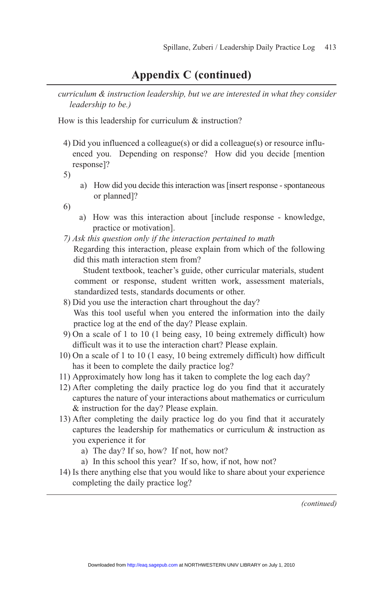# **Appendix C (continued)**

*curriculum & instruction leadership, but we are interested in what they consider leadership to be.)*

How is this leadership for curriculum & instruction?

- 4) Did you influenced a colleague(s) or did a colleague(s) or resource influenced you. Depending on response? How did you decide [mention response]?
- 5)
- a) How did you decide this interaction was [insert response spontaneous or planned]?
- 6)
- a) How was this interaction about [include response knowledge, practice or motivation].
- *7) Ask this question only if the interaction pertained to math*

Regarding this interaction, please explain from which of the following did this math interaction stem from?

Student textbook, teacher's guide, other curricular materials, student comment or response, student written work, assessment materials, standardized tests, standards documents or other.

- 8) Did you use the interaction chart throughout the day? Was this tool useful when you entered the information into the daily practice log at the end of the day? Please explain.
- 9) On a scale of 1 to 10 (1 being easy, 10 being extremely difficult) how difficult was it to use the interaction chart? Please explain.
- 10) On a scale of 1 to 10 (1 easy, 10 being extremely difficult) how difficult has it been to complete the daily practice log?
- 11) Approximately how long has it taken to complete the log each day?
- 12) After completing the daily practice log do you find that it accurately captures the nature of your interactions about mathematics or curriculum & instruction for the day? Please explain.
- 13) After completing the daily practice log do you find that it accurately captures the leadership for mathematics or curriculum & instruction as you experience it for
	- a) The day? If so, how? If not, how not?
	- a) In this school this year? If so, how, if not, how not?
- 14) Is there anything else that you would like to share about your experience completing the daily practice log?

*(continued)*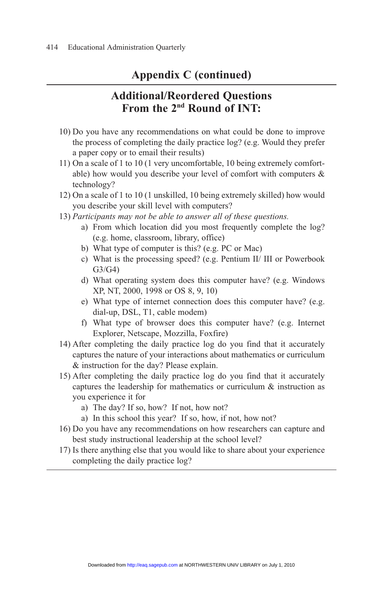# **Appendix C (continued)**

# **Additional/Reordered Questions From the 2nd Round of INT:**

- 10) Do you have any recommendations on what could be done to improve the process of completing the daily practice log? (e.g. Would they prefer a paper copy or to email their results)
- 11) On a scale of 1 to 10 (1 very uncomfortable, 10 being extremely comfortable) how would you describe your level of comfort with computers & technology?
- 12) On a scale of 1 to 10 (1 unskilled, 10 being extremely skilled) how would you describe your skill level with computers?
- 13) *Participants may not be able to answer all of these questions.*
	- a) From which location did you most frequently complete the log? (e.g. home, classroom, library, office)
	- b) What type of computer is this? (e.g. PC or Mac)
	- c) What is the processing speed? (e.g. Pentium II/ III or Powerbook G3/G4)
	- d) What operating system does this computer have? (e.g. Windows XP, NT, 2000, 1998 or OS 8, 9, 10)
	- e) What type of internet connection does this computer have? (e.g. dial-up, DSL, T1, cable modem)
	- f) What type of browser does this computer have? (e.g. Internet Explorer, Netscape, Mozzilla, Foxfire)
- 14) After completing the daily practice log do you find that it accurately captures the nature of your interactions about mathematics or curriculum & instruction for the day? Please explain.
- 15) After completing the daily practice log do you find that it accurately captures the leadership for mathematics or curriculum & instruction as you experience it for
	- a) The day? If so, how? If not, how not?
	- a) In this school this year? If so, how, if not, how not?
- 16) Do you have any recommendations on how researchers can capture and best study instructional leadership at the school level?
- 17) Is there anything else that you would like to share about your experience completing the daily practice log?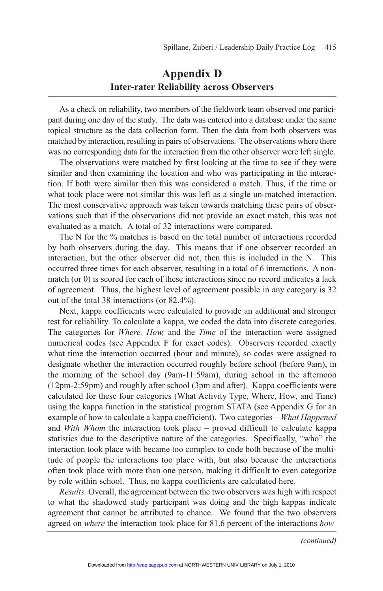# **Appendix D Inter-rater Reliability across Observers**

As a check on reliability, two members of the fieldwork team observed one participant during one day of the study. The data was entered into a database under the same topical structure as the data collection form. Then the data from both observers was matched by interaction, resulting in pairs of observations. The observations where there was no corresponding data for the interaction from the other observer were left single.

The observations were matched by first looking at the time to see if they were similar and then examining the location and who was participating in the interaction. If both were similar then this was considered a match. Thus, if the time or what took place were not similar this was left as a single un-matched interaction. The most conservative approach was taken towards matching these pairs of observations such that if the observations did not provide an exact match, this was not evaluated as a match. A total of 32 interactions were compared.

The N for the % matches is based on the total number of interactions recorded by both observers during the day. This means that if one observer recorded an interaction, but the other observer did not, then this is included in the N. This occurred three times for each observer, resulting in a total of 6 interactions. A nonmatch (or 0) is scored for each of these interactions since no record indicates a lack of agreement. Thus, the highest level of agreement possible in any category is 32 out of the total 38 interactions (or 82.4%).

Next, kappa coefficients were calculated to provide an additional and stronger test for reliability. To calculate a kappa, we coded the data into discrete categories. The categories for *Where, How,* and the *Time* of the interaction were assigned numerical codes (see Appendix F for exact codes). Observers recorded exactly what time the interaction occurred (hour and minute), so codes were assigned to designate whether the interaction occurred roughly before school (before 9am), in the morning of the school day (9am-11:59am), during school in the afternoon (12pm-2:59pm) and roughly after school (3pm and after). Kappa coefficients were calculated for these four categories (What Activity Type, Where, How, and Time) using the kappa function in the statistical program STATA (see Appendix G for an example of how to calculate a kappa coefficient). Two categories – *What Happened*  and *With Whom* the interaction took place – proved difficult to calculate kappa statistics due to the descriptive nature of the categories. Specifically, "who" the interaction took place with became too complex to code both because of the multitude of people the interactions too place with, but also because the interactions often took place with more than one person, making it difficult to even categorize by role within school. Thus, no kappa coefficients are calculated here.

*Results.* Overall, the agreement between the two observers was high with respect to what the shadowed study participant was doing and the high kappas indicate agreement that cannot be attributed to chance. We found that the two observers agreed on *where* the interaction took place for 81.6 percent of the interactions *how*

*(continued)*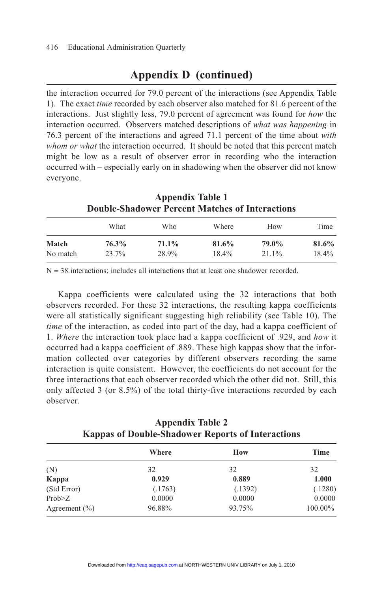# **Appendix D (continued)**

the interaction occurred for 79.0 percent of the interactions (see Appendix Table 1). The exact *time* recorded by each observer also matched for 81.6 percent of the interactions. Just slightly less, 79.0 percent of agreement was found for *how* the interaction occurred. Observers matched descriptions of *what was happening* in 76.3 percent of the interactions and agreed 71.1 percent of the time about *with whom or what* the interaction occurred. It should be noted that this percent match might be low as a result of observer error in recording who the interaction occurred with – especially early on in shadowing when the observer did not know everyone.

**Appendix Table 1 Double-Shadower Percent Matches of Interactions**

|          | What     | Who   | Where    | How   | Time     |
|----------|----------|-------|----------|-------|----------|
| Match    | 76.3%    | 71.1% | 81.6%    | 79.0% | 81.6%    |
| No match | $23.7\%$ | 28.9% | $18.4\%$ | 21.1% | $18.4\%$ |

 $N = 38$  interactions; includes all interactions that at least one shadower recorded.

Kappa coefficients were calculated using the 32 interactions that both observers recorded. For these 32 interactions, the resulting kappa coefficients were all statistically significant suggesting high reliability (see Table 10). The *time* of the interaction, as coded into part of the day, had a kappa coefficient of 1. *Where* the interaction took place had a kappa coefficient of .929, and *how* it occurred had a kappa coefficient of .889. These high kappas show that the information collected over categories by different observers recording the same interaction is quite consistent. However, the coefficients do not account for the three interactions that each observer recorded which the other did not. Still, this only affected 3 (or 8.5%) of the total thirty-five interactions recorded by each observer.

**Appendix Table 2 Kappas of Double-Shadower Reports of Interactions**

|                   | Where   | How     | Time       |
|-------------------|---------|---------|------------|
| (N)               | 32      | 32      | 32         |
| Kappa             | 0.929   | 0.889   | 1.000      |
| (Std Error)       | (.1763) | (.1392) | (.1280)    |
| Prob > Z          | 0.0000  | 0.0000  | 0.0000     |
| Agreement $(\% )$ | 96.88%  | 93.75%  | $100.00\%$ |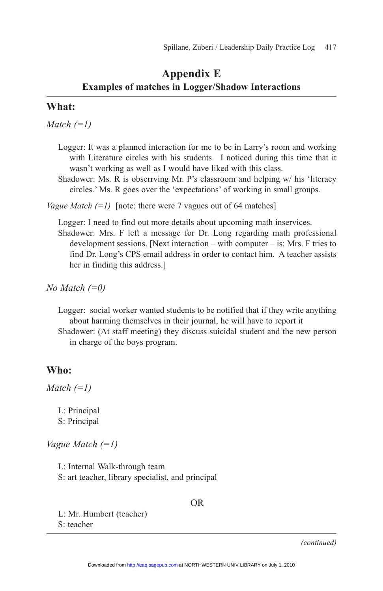# **Appendix E Examples of matches in Logger/Shadow Interactions**

#### **What:**

*Match (=1)*

- Logger: It was a planned interaction for me to be in Larry's room and working with Literature circles with his students. I noticed during this time that it wasn't working as well as I would have liked with this class.
- Shadower: Ms. R is obserrving Mr. P's classroom and helping w/ his 'literacy circles.' Ms. R goes over the 'expectations' of working in small groups.
- *Vague Match*  $(=1)$  [note: there were 7 vagues out of 64 matches]

Logger: I need to find out more details about upcoming math inservices.

Shadower: Mrs. F left a message for Dr. Long regarding math professional development sessions. [Next interaction – with computer – is: Mrs. F tries to find Dr. Long's CPS email address in order to contact him. A teacher assists her in finding this address.]

*No Match (=0)*

- Logger: social worker wanted students to be notified that if they write anything about harming themselves in their journal, he will have to report it
- Shadower: (At staff meeting) they discuss suicidal student and the new person in charge of the boys program.

#### **Who:**

*Match (=1)*

L: Principal S: Principal

*Vague Match (=1)*

L: Internal Walk-through team S: art teacher, library specialist, and principal

#### OR

L: Mr. Humbert (teacher) S: teacher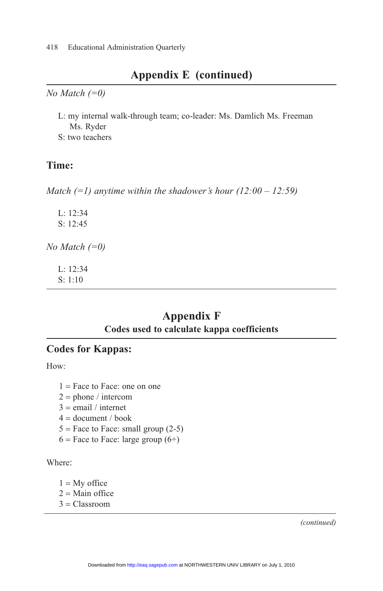# **Appendix E (continued)**

*No Match (=0)*

L: my internal walk-through team; co-leader: Ms. Damlich Ms. Freeman Ms. Ryder S: two teachers

**Time:**

*Match (=1) anytime within the shadower's hour (12:00 – 12:59)*

L: 12:34 S: 12:45

*No Match (=0)*

L: 12:34 S: 1:10

# **Appendix F Codes used to calculate kappa coefficients**

#### **Codes for Kappas:**

How:

- $1 =$  Face to Face: one on one
- $2 =$  phone / intercom
- $3 = \text{email} / \text{internet}$
- $4 = document / book$
- $5 =$  Face to Face: small group (2-5)
- $6$  = Face to Face: large group  $(6+)$

Where:

- $1 = My$  office
- $2 =$ Main office
- 3 = Classroom

*(continued)*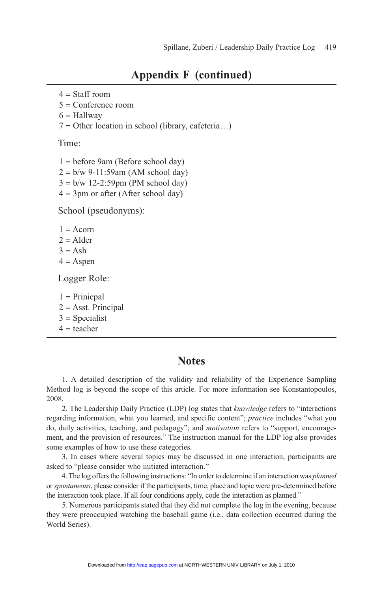# **Appendix F (continued)**

- $4 =$ Staff room
- 5 = Conference room
- $6 =$ Hallway
- 7 = Other location in school (library, cafeteria…)

Time:

 $1 = \text{before 9am}$  (Before school day)

 $2 = b/w$  9-11:59am (AM school day)

 $3 = b/w 12-2:59pm (PM school day)$ 

 $4 = 3$ pm or after (After school day)

School (pseudonyms):

 $1 = A$ corn  $2 =$  Alder  $3 = Ash$  $4 =$ Aspen

Logger Role:

- $1$  = Prinicpal
- $2 =$ Asst. Principal
- $3$  = Specialist
- $4 = \text{teacher}$

#### **Notes**

1. A detailed description of the validity and reliability of the Experience Sampling Method log is beyond the scope of this article. For more information see Konstantopoulos, 2008.

2. The Leadership Daily Practice (LDP) log states that *knowledge* refers to "interactions regarding information, what you learned, and specific content"; *practice* includes "what you do, daily activities, teaching, and pedagogy"; and *motivation* refers to "support, encouragement, and the provision of resources." The instruction manual for the LDP log also provides some examples of how to use these categories.

3. In cases where several topics may be discussed in one interaction, participants are asked to "please consider who initiated interaction."

4. The log offers the following instructions: "In order to determine if an interaction was *planned*  or *spontaneous*, please consider if the participants, time, place and topic were pre-determined before the interaction took place. If all four conditions apply, code the interaction as planned."

5. Numerous participants stated that they did not complete the log in the evening, because they were preoccupied watching the baseball game (i.e., data collection occurred during the World Series).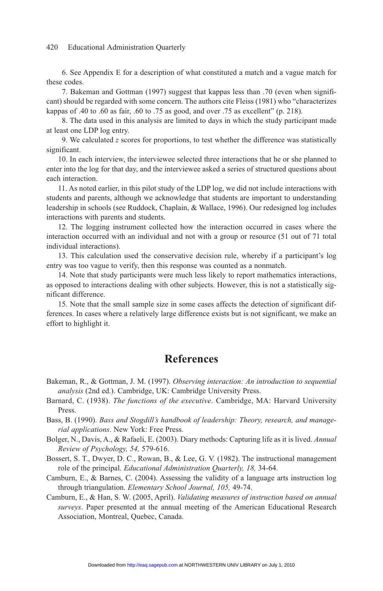#### 420 Educational Administration Quarterly

6. See Appendix E for a description of what constituted a match and a vague match for these codes.

7. Bakeman and Gottman (1997) suggest that kappas less than .70 (even when significant) should be regarded with some concern. The authors cite Fleiss (1981) who "characterizes kappas of .40 to .60 as fair, .60 to .75 as good, and over .75 as excellent" (p. 218).

8. The data used in this analysis are limited to days in which the study participant made at least one LDP log entry.

9. We calculated *z* scores for proportions, to test whether the difference was statistically significant.

10. In each interview, the interviewee selected three interactions that he or she planned to enter into the log for that day, and the interviewee asked a series of structured questions about each interaction.

11. As noted earlier, in this pilot study of the LDP log, we did not include interactions with students and parents, although we acknowledge that students are important to understanding leadership in schools (see Ruddock, Chaplain, & Wallace, 1996). Our redesigned log includes interactions with parents and students.

12. The logging instrument collected how the interaction occurred in cases where the interaction occurred with an individual and not with a group or resource (51 out of 71 total individual interactions).

13. This calculation used the conservative decision rule, whereby if a participant's log entry was too vague to verify, then this response was counted as a nonmatch.

14. Note that study participants were much less likely to report mathematics interactions, as opposed to interactions dealing with other subjects. However, this is not a statistically significant difference.

15. Note that the small sample size in some cases affects the detection of significant differences. In cases where a relatively large difference exists but is not significant, we make an effort to highlight it.

### **References**

- Bakeman, R., & Gottman, J. M. (1997). *Observing interaction: An introduction to sequential analysis* (2nd ed.). Cambridge, UK: Cambridge University Press.
- Barnard, C. (1938). *The functions of the executive*. Cambridge, MA: Harvard University Press.

Bass, B. (1990). *Bass and Stogdill's handbook of leadership: Theory, research, and managerial applications*. New York: Free Press.

Bolger, N., Davis, A., & Rafaeli, E. (2003). Diary methods: Capturing life as it is lived. *Annual Review of Psychology, 54,* 579-616.

Bossert, S. T., Dwyer, D. C., Rowan, B., & Lee, G. V. (1982). The instructional management role of the principal. *Educational Administration Quarterly, 18,* 34-64.

Camburn, E., & Barnes, C. (2004). Assessing the validity of a language arts instruction log through triangulation. *Elementary School Journal, 105,* 49-74.

Camburn, E., & Han, S. W. (2005, April). *Validating measures of instruction based on annual surveys*. Paper presented at the annual meeting of the American Educational Research Association, Montreal, Quebec, Canada.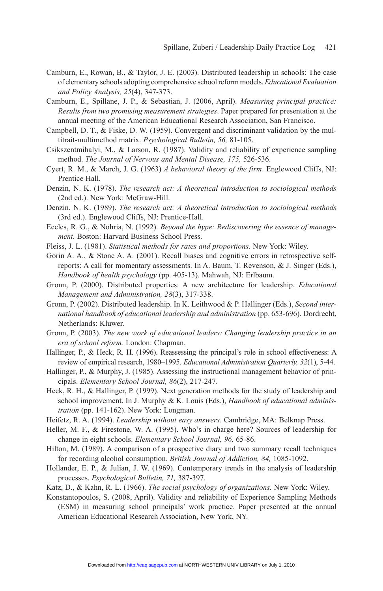- Camburn, E., Rowan, B., & Taylor, J. E. (2003). Distributed leadership in schools: The case of elementary schools adopting comprehensive school reform models. *Educational Evaluation and Policy Analysis, 25*(4), 347-373.
- Camburn, E., Spillane, J. P., & Sebastian, J. (2006, April). *Measuring principal practice: Results from two promising measurement strategies*. Paper prepared for presentation at the annual meeting of the American Educational Research Association, San Francisco.
- Campbell, D. T., & Fiske, D. W. (1959). Convergent and discriminant validation by the multitrait-multimethod matrix. *Psychological Bulletin, 56,* 81-105.
- Csikszentmihalyi, M., & Larson, R. (1987). Validity and reliability of experience sampling method. *The Journal of Nervous and Mental Disease, 175,* 526-536.
- Cyert, R. M., & March, J. G. (1963) *A behavioral theory of the firm*. Englewood Cliffs, NJ: Prentice Hall.
- Denzin, N. K. (1978). *The research act: A theoretical introduction to sociological methods* (2nd ed.). New York: McGraw-Hill.
- Denzin, N. K. (1989). *The research act: A theoretical introduction to sociological methods* (3rd ed.). Englewood Cliffs, NJ: Prentice-Hall.
- Eccles, R. G., & Nohria, N. (1992). *Beyond the hype: Rediscovering the essence of management.* Boston: Harvard Business School Press.
- Fleiss, J. L. (1981). *Statistical methods for rates and proportions.* New York: Wiley.
- Gorin A. A., & Stone A. A. (2001). Recall biases and cognitive errors in retrospective selfreports: A call for momentary assessments. In A. Baum, T. Revenson, & J. Singer (Eds.), *Handbook of health psychology* (pp. 405-13). Mahwah, NJ: Erlbaum.
- Gronn, P. (2000). Distributed properties: A new architecture for leadership. *Educational Management and Administration, 28*(3), 317-338.
- Gronn, P. (2002). Distributed leadership. In K. Leithwood & P. Hallinger (Eds.), *Second international handbook of educational leadership and administration* (pp. 653-696). Dordrecht, Netherlands: Kluwer.
- Gronn, P. (2003). *The new work of educational leaders: Changing leadership practice in an era of school reform.* London: Chapman.
- Hallinger, P., & Heck, R. H. (1996). Reassessing the principal's role in school effectiveness: A review of empirical research, 1980–1995. *Educational Administration Quarterly, 32*(1), 5-44.
- Hallinger, P., & Murphy, J. (1985). Assessing the instructional management behavior of principals. *Elementary School Journal, 86*(2), 217-247.
- Heck, R. H., & Hallinger, P. (1999). Next generation methods for the study of leadership and school improvement. In J. Murphy & K. Louis (Eds.), *Handbook of educational administration* (pp. 141-162). New York: Longman.
- Heifetz, R. A. (1994). *Leadership without easy answers.* Cambridge, MA: Belknap Press.
- Heller, M. F., & Firestone, W. A. (1995). Who's in charge here? Sources of leadership for change in eight schools. *Elementary School Journal, 96,* 65-86.
- Hilton, M. (1989). A comparison of a prospective diary and two summary recall techniques for recording alcohol consumption. *British Journal of Addiction, 84,* 1085-1092.
- Hollander, E. P., & Julian, J. W. (1969). Contemporary trends in the analysis of leadership processes. *Psychological Bulletin, 71,* 387-397.
- Katz, D., & Kahn, R. L. (1966). *The social psychology of organizations.* New York: Wiley.
- Konstantopoulos, S. (2008, April). Validity and reliability of Experience Sampling Methods (ESM) in measuring school principals' work practice. Paper presented at the annual American Educational Research Association, New York, NY.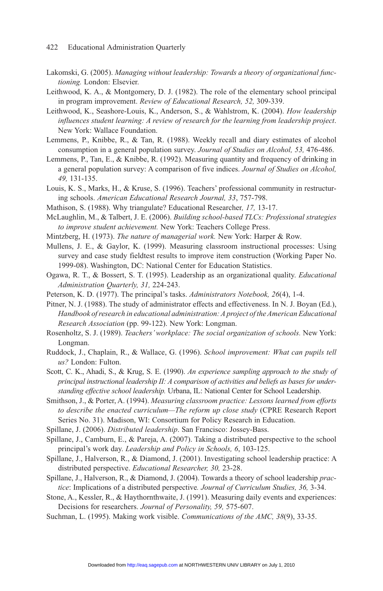- Lakomski, G. (2005). *Managing without leadership: Towards a theory of organizational functioning.* London: Elsevier.
- Leithwood, K. A., & Montgomery, D. J. (1982). The role of the elementary school principal in program improvement. *Review of Educational Research, 52,* 309-339.
- Leithwood, K., Seashore-Louis, K., Anderson, S., & Wahlstrom, K. (2004). *How leadership influences student learning: A review of research for the learning from leadership project*. New York: Wallace Foundation.
- Lemmens, P., Knibbe, R., & Tan, R. (1988). Weekly recall and diary estimates of alcohol consumption in a general population survey. *Journal of Studies on Alcohol, 53,* 476-486.
- Lemmens, P., Tan, E., & Knibbe, R. (1992). Measuring quantity and frequency of drinking in a general population survey: A comparison of five indices. *Journal of Studies on Alcohol, 49,* 131-135.
- Louis, K. S., Marks, H., & Kruse, S. (1996). Teachers' professional community in restructuring schools. *American Educational Research Journal, 33*, 757-798.
- Mathison, S. (1988). Why triangulate? Educational Researcher*, 17,* 13-17.

McLaughlin, M., & Talbert, J. E. (2006). *Building school-based TLCs: Professional strategies to improve student achievement.* New York: Teachers College Press.

- Mintzberg, H. (1973). *The nature of managerial work.* New York: Harper & Row.
- Mullens, J. E., & Gaylor, K. (1999). Measuring classroom instructional processes: Using survey and case study fieldtest results to improve item construction (Working Paper No. 1999-08). Washington, DC: National Center for Education Statistics.
- Ogawa, R. T., & Bossert, S. T. (1995). Leadership as an organizational quality. *Educational Administration Quarterly, 31,* 224-243.
- Peterson, K. D. (1977). The principal's tasks. *Administrators Notebook, 26*(4), 1-4.
- Pitner, N. J. (1988). The study of administrator effects and effectiveness. In N. J. Boyan (Ed.), *Handbook of research in educational administration: A project of the American Educational Research Association* (pp. 99-122). New York: Longman.
- Rosenholtz, S. J. (1989). *Teachers' workplace: The social organization of schools.* New York: Longman.
- Ruddock, J., Chaplain, R., & Wallace, G. (1996). *School improvement: What can pupils tell us?* London: Fulton.
- Scott, C. K., Ahadi, S., & Krug, S. E. (1990). *An experience sampling approach to the study of principal instructional leadership II: A comparison of activities and beliefs as bases for understanding effective school leadership.* Urbana, IL: National Center for School Leadership.
- Smithson, J., & Porter, A. (1994). *Measuring classroom practice: Lessons learned from efforts to describe the enacted curriculum—The reform up close study* (CPRE Research Report Series No. 31). Madison, WI: Consortium for Policy Research in Education.
- Spillane, J. (2006). *Distributed leadership*. San Francisco: Jossey-Bass.
- Spillane, J., Camburn, E., & Pareja, A. (2007). Taking a distributed perspective to the school principal's work day. *Leadership and Policy in Schools, 6*, 103-125.
- Spillane, J., Halverson, R., & Diamond, J. (2001). Investigating school leadership practice: A distributed perspective. *Educational Researcher, 30,* 23-28.
- Spillane, J., Halverson, R., & Diamond, J. (2004). Towards a theory of school leadership *practice*: Implications of a distributed perspective*. Journal of Curriculum Studies, 36,* 3-34.
- Stone, A., Kessler, R., & Haythornthwaite, J. (1991). Measuring daily events and experiences: Decisions for researchers. *Journal of Personality, 59,* 575-607.
- Suchman, L. (1995). Making work visible. *Communications of the AMC, 38*(9), 33-35.